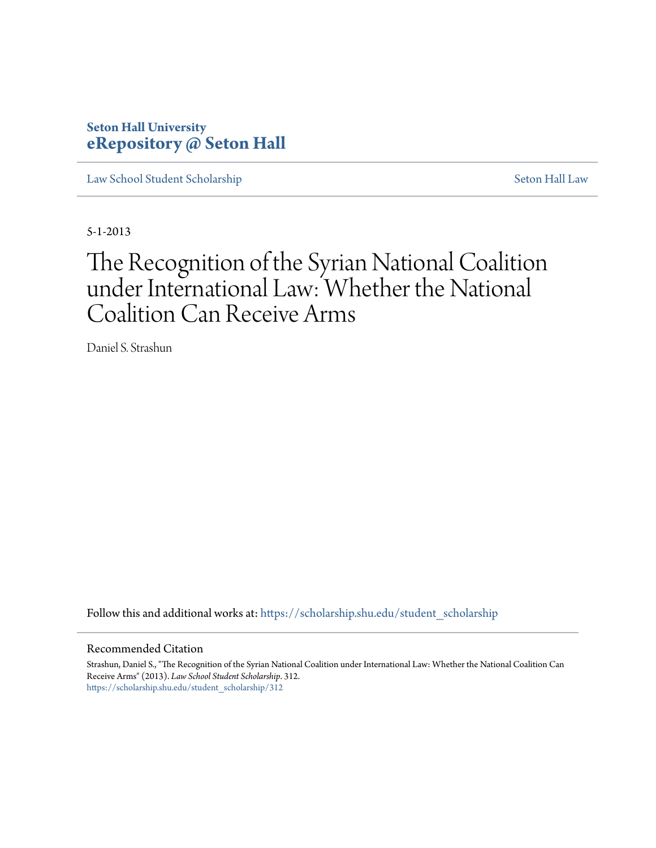# **Seton Hall University [eRepository @ Seton Hall](https://scholarship.shu.edu?utm_source=scholarship.shu.edu%2Fstudent_scholarship%2F312&utm_medium=PDF&utm_campaign=PDFCoverPages)**

[Law School Student Scholarship](https://scholarship.shu.edu/student_scholarship?utm_source=scholarship.shu.edu%2Fstudent_scholarship%2F312&utm_medium=PDF&utm_campaign=PDFCoverPages) [Seton Hall Law](https://scholarship.shu.edu/law?utm_source=scholarship.shu.edu%2Fstudent_scholarship%2F312&utm_medium=PDF&utm_campaign=PDFCoverPages)

5-1-2013

# The Recognition of the Syrian National Coalition under International Law: Whether the National Coalition Can Receive Arms

Daniel S. Strashun

Follow this and additional works at: [https://scholarship.shu.edu/student\\_scholarship](https://scholarship.shu.edu/student_scholarship?utm_source=scholarship.shu.edu%2Fstudent_scholarship%2F312&utm_medium=PDF&utm_campaign=PDFCoverPages)

#### Recommended Citation

Strashun, Daniel S., "The Recognition of the Syrian National Coalition under International Law: Whether the National Coalition Can Receive Arms" (2013). *Law School Student Scholarship*. 312. [https://scholarship.shu.edu/student\\_scholarship/312](https://scholarship.shu.edu/student_scholarship/312?utm_source=scholarship.shu.edu%2Fstudent_scholarship%2F312&utm_medium=PDF&utm_campaign=PDFCoverPages)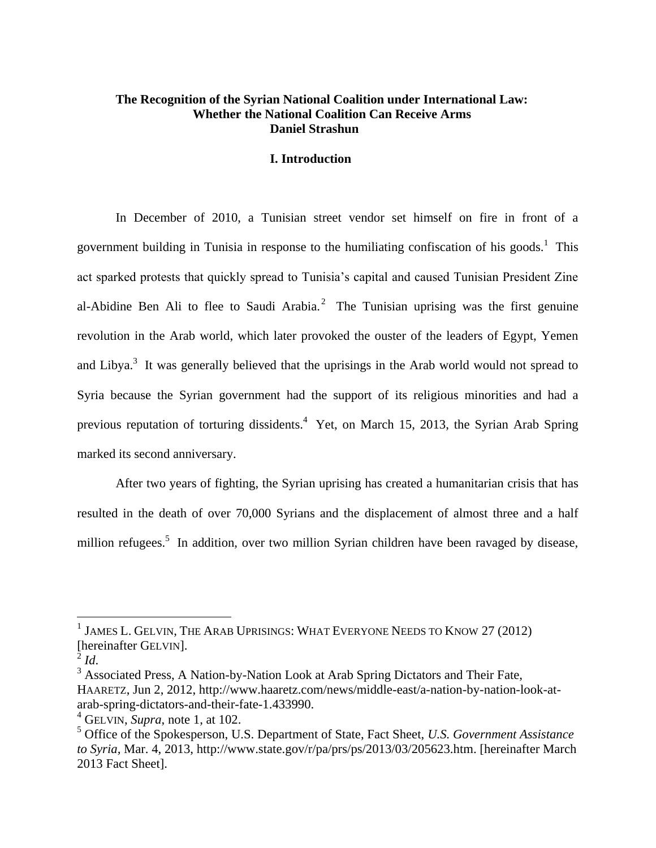# **The Recognition of the Syrian National Coalition under International Law: Whether the National Coalition Can Receive Arms Daniel Strashun**

# **I. Introduction**

In December of 2010, a Tunisian street vendor set himself on fire in front of a government building in Tunisia in response to the humiliating confiscation of his goods.<sup>1</sup> This act sparked protests that quickly spread to Tunisia's capital and caused Tunisian President Zine al-Abidine Ben Ali to flee to Saudi Arabia.<sup>2</sup> The Tunisian uprising was the first genuine revolution in the Arab world, which later provoked the ouster of the leaders of Egypt, Yemen and Libya.<sup>3</sup> It was generally believed that the uprisings in the Arab world would not spread to Syria because the Syrian government had the support of its religious minorities and had a previous reputation of torturing dissidents.<sup>4</sup> Yet, on March 15, 2013, the Syrian Arab Spring marked its second anniversary.

After two years of fighting, the Syrian uprising has created a humanitarian crisis that has resulted in the death of over 70,000 Syrians and the displacement of almost three and a half million refugees.<sup>5</sup> In addition, over two million Syrian children have been ravaged by disease,

 $\overline{a}$ 

<sup>3</sup> Associated Press, A Nation-by-Nation Look at Arab Spring Dictators and Their Fate, HAARETZ, Jun 2, 2012, http://www.haaretz.com/news/middle-east/a-nation-by-nation-look-at-

 $^1$  James L. Gelvin, The Arab Uprisings: What Everyone Needs to Know 27 (2012) [hereinafter GELVIN].

 $^2$  *Id.* 

arab-spring-dictators-and-their-fate-1.433990.

<sup>4</sup> GELVIN, *Supra*, note 1, at 102.

<sup>5</sup> Office of the Spokesperson, U.S. Department of State, Fact Sheet, *U.S. Government Assistance to Syria,* Mar. 4, 2013, http://www.state.gov/r/pa/prs/ps/2013/03/205623.htm. [hereinafter March 2013 Fact Sheet].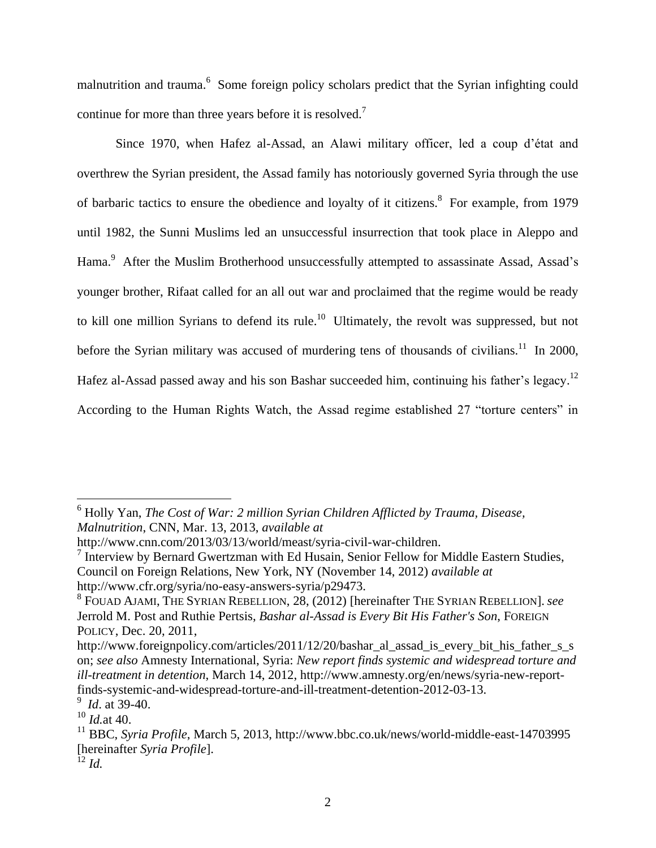malnutrition and trauma.<sup>6</sup> Some foreign policy scholars predict that the Syrian infighting could continue for more than three years before it is resolved.<sup>7</sup>

Since 1970, when Hafez al-Assad, an Alawi military officer, led a coup d'état and overthrew the Syrian president, the Assad family has notoriously governed Syria through the use of barbaric tactics to ensure the obedience and loyalty of it citizens.<sup>8</sup> For example, from 1979 until 1982, the Sunni Muslims led an unsuccessful insurrection that took place in Aleppo and Hama.<sup>9</sup> After the Muslim Brotherhood unsuccessfully attempted to assassinate Assad, Assad's younger brother, Rifaat called for an all out war and proclaimed that the regime would be ready to kill one million Syrians to defend its rule.<sup>10</sup> Ultimately, the revolt was suppressed, but not before the Syrian military was accused of murdering tens of thousands of civilians.<sup>11</sup> In 2000, Hafez al-Assad passed away and his son Bashar succeeded him, continuing his father's legacy.<sup>12</sup> According to the Human Rights Watch, the Assad regime established 27 "torture centers" in

<sup>6</sup> Holly Yan, *The Cost of War: 2 million Syrian Children Afflicted by Trauma, Disease, Malnutrition*, CNN, Mar. 13, 2013, *available at* 

http://www.cnn.com/2013/03/13/world/meast/syria-civil-war-children.

<sup>&</sup>lt;sup>7</sup> Interview by Bernard Gwertzman with Ed Husain, Senior Fellow for Middle Eastern Studies, Council on Foreign Relations, New York, NY (November 14, 2012) *available at*  http://www.cfr.org/syria/no-easy-answers-syria/p29473.

<sup>8</sup> FOUAD AJAMI, THE SYRIAN REBELLION, 28, (2012) [hereinafter THE SYRIAN REBELLION]. *see* Jerrold M. Post and Ruthie Pertsis, *Bashar al-Assad is Every Bit His Father's Son*, FOREIGN POLICY, Dec. 20, 2011,

http://www.foreignpolicy.com/articles/2011/12/20/bashar\_al\_assad\_is\_every\_bit\_his\_father\_s\_s on; *see also* Amnesty International, Syria: *New report finds systemic and widespread torture and ill-treatment in detention*, March 14, 2012, http://www.amnesty.org/en/news/syria-new-reportfinds-systemic-and-widespread-torture-and-ill-treatment-detention-2012-03-13.

<sup>9</sup> *Id*. at 39-40.

<sup>10</sup> *Id.*at 40.

<sup>11</sup> BBC, *Syria Profile*, March 5, 2013, http://www.bbc.co.uk/news/world-middle-east-14703995 [hereinafter *Syria Profile*].

 $^{12}$  *Id.*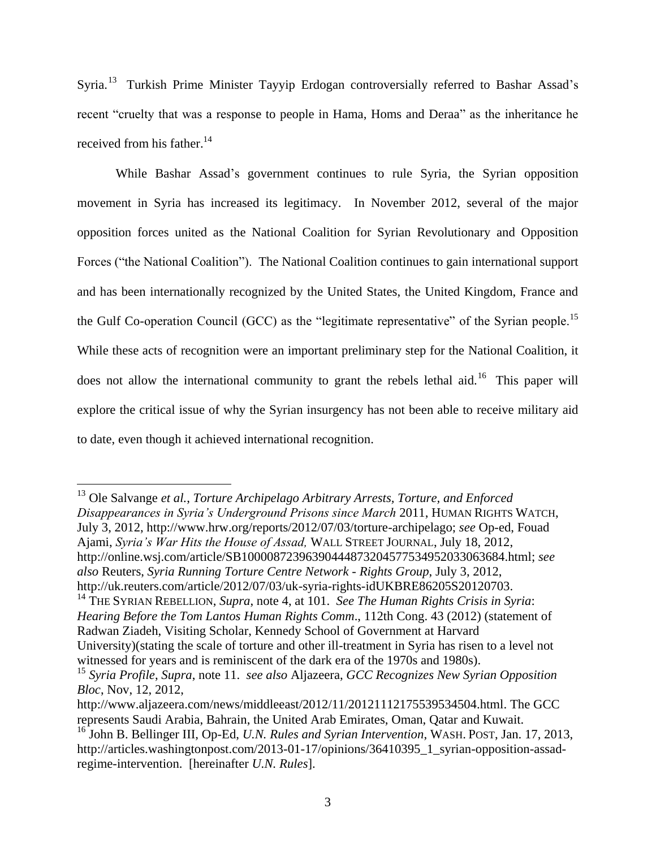Syria.<sup>13</sup> Turkish Prime Minister Tayyip Erdogan controversially referred to Bashar Assad's recent "cruelty that was a response to people in Hama, Homs and Deraa" as the inheritance he received from his father. $14$ 

While Bashar Assad's government continues to rule Syria, the Syrian opposition movement in Syria has increased its legitimacy. In November 2012, several of the major opposition forces united as the National Coalition for Syrian Revolutionary and Opposition Forces ("the National Coalition"). The National Coalition continues to gain international support and has been internationally recognized by the United States, the United Kingdom, France and the Gulf Co-operation Council (GCC) as the "legitimate representative" of the Syrian people.<sup>15</sup> While these acts of recognition were an important preliminary step for the National Coalition, it does not allow the international community to grant the rebels lethal aid.<sup>16</sup> This paper will explore the critical issue of why the Syrian insurgency has not been able to receive military aid to date, even though it achieved international recognition.

<sup>13</sup> Ole Salvange *et al.*, *Torture Archipelago Arbitrary Arrests, Torture, and Enforced Disappearances in Syria's Underground Prisons since March* 2011, HUMAN RIGHTS WATCH, July 3, 2012, http://www.hrw.org/reports/2012/07/03/torture-archipelago; *see* Op-ed, Fouad Ajami, *Syria's War Hits the House of Assad,* WALL STREET JOURNAL, July 18, 2012, http://online.wsj.com/article/SB10000872396390444873204577534952033063684.html; *see also* Reuters, *Syria Running Torture Centre Network - Rights Group*, July 3, 2012, http://uk.reuters.com/article/2012/07/03/uk-syria-rights-idUKBRE86205S20120703.

<sup>14</sup> THE SYRIAN REBELLION, *Supra*, note 4, at 101. *See The Human Rights Crisis in Syria*: *Hearing Before the Tom Lantos Human Rights Comm*., 112th Cong. 43 (2012) (statement of Radwan Ziadeh, Visiting Scholar, Kennedy School of Government at Harvard University)(stating the scale of torture and other ill-treatment in Syria has risen to a level not witnessed for years and is reminiscent of the dark era of the 1970s and 1980s).

<sup>15</sup> *Syria Profile*, *Supra*, note 11. *see also* Aljazeera, *GCC Recognizes New Syrian Opposition Bloc*, Nov, 12, 2012,

http://www.aljazeera.com/news/middleeast/2012/11/20121112175539534504.html. The GCC represents Saudi Arabia, Bahrain, the United Arab Emirates, Oman, Qatar and Kuwait.

<sup>16</sup> John B. Bellinger III, Op-Ed, *U.N. Rules and Syrian Intervention*, WASH. POST, Jan. 17, 2013, http://articles.washingtonpost.com/2013-01-17/opinions/36410395\_1\_syrian-opposition-assadregime-intervention. [hereinafter *U.N. Rules*].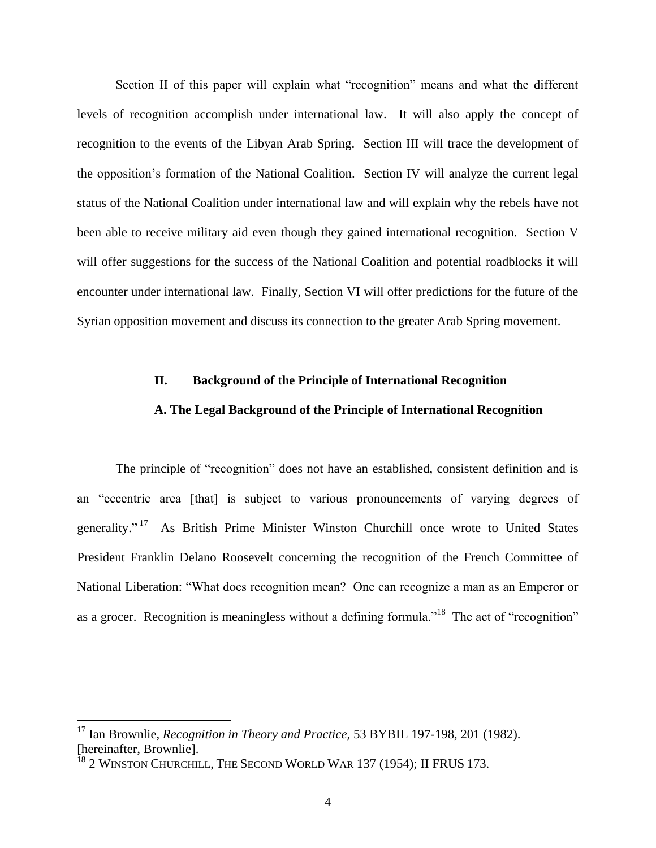Section II of this paper will explain what "recognition" means and what the different levels of recognition accomplish under international law. It will also apply the concept of recognition to the events of the Libyan Arab Spring. Section III will trace the development of the opposition's formation of the National Coalition. Section IV will analyze the current legal status of the National Coalition under international law and will explain why the rebels have not been able to receive military aid even though they gained international recognition. Section V will offer suggestions for the success of the National Coalition and potential roadblocks it will encounter under international law. Finally, Section VI will offer predictions for the future of the Syrian opposition movement and discuss its connection to the greater Arab Spring movement.

#### **II. Background of the Principle of International Recognition**

# **A. The Legal Background of the Principle of International Recognition**

The principle of "recognition" does not have an established, consistent definition and is an "eccentric area [that] is subject to various pronouncements of varying degrees of generality."<sup>17</sup> As British Prime Minister Winston Churchill once wrote to United States President Franklin Delano Roosevelt concerning the recognition of the French Committee of National Liberation: "What does recognition mean? One can recognize a man as an Emperor or as a grocer. Recognition is meaningless without a defining formula."<sup>18</sup> The act of "recognition"

<sup>17</sup> Ian Brownlie, *Recognition in Theory and Practice,* 53 BYBIL 197-198, 201 (1982). [hereinafter, Brownlie].

<sup>&</sup>lt;sup>18</sup> 2 WINSTON CHURCHILL, THE SECOND WORLD WAR 137 (1954); II FRUS 173.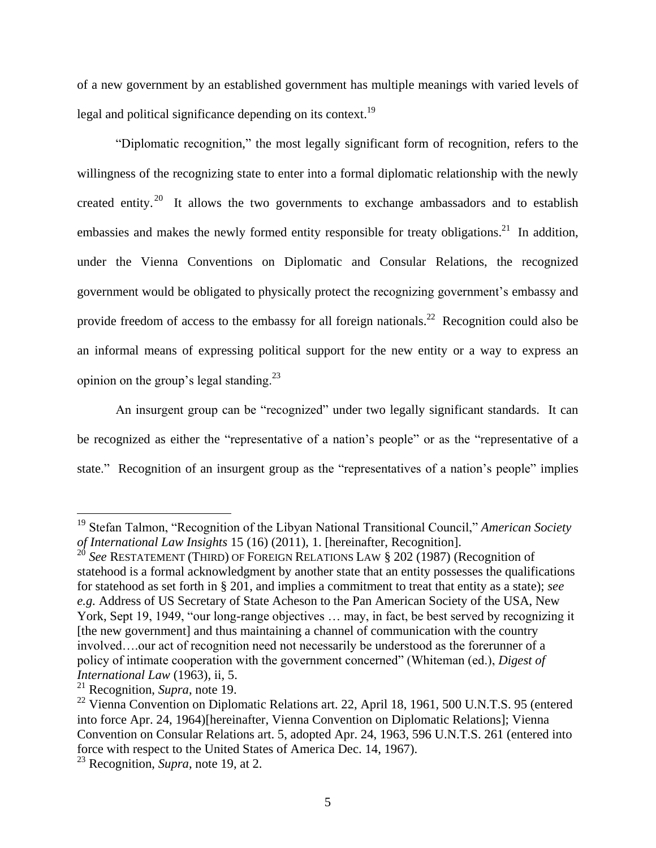of a new government by an established government has multiple meanings with varied levels of legal and political significance depending on its context.<sup>19</sup>

"Diplomatic recognition," the most legally significant form of recognition, refers to the willingness of the recognizing state to enter into a formal diplomatic relationship with the newly created entity.<sup>20</sup> It allows the two governments to exchange ambassadors and to establish embassies and makes the newly formed entity responsible for treaty obligations.<sup>21</sup> In addition, under the Vienna Conventions on Diplomatic and Consular Relations, the recognized government would be obligated to physically protect the recognizing government's embassy and provide freedom of access to the embassy for all foreign nationals.<sup>22</sup> Recognition could also be an informal means of expressing political support for the new entity or a way to express an opinion on the group's legal standing.<sup>23</sup>

An insurgent group can be "recognized" under two legally significant standards. It can be recognized as either the "representative of a nation's people" or as the "representative of a state." Recognition of an insurgent group as the "representatives of a nation's people" implies

<sup>19</sup> Stefan Talmon, "Recognition of the Libyan National Transitional Council," *American Society of International Law Insights* 15 (16) (2011), 1. [hereinafter, Recognition].

<sup>&</sup>lt;sup>20</sup> See RESTATEMENT (THIRD) OF FOREIGN RELATIONS LAW § 202 (1987) (Recognition of statehood is a formal acknowledgment by another state that an entity possesses the qualifications for statehood as set forth in § 201, and implies a commitment to treat that entity as a state); *see e.g.* Address of US Secretary of State Acheson to the Pan American Society of the USA, New York, Sept 19, 1949, "our long-range objectives … may, in fact, be best served by recognizing it [the new government] and thus maintaining a channel of communication with the country involved….our act of recognition need not necessarily be understood as the forerunner of a policy of intimate cooperation with the government concerned" (Whiteman (ed.), *Digest of International Law* (1963), ii, 5.

<sup>21</sup> Recognition, *Supra*, note 19.

<sup>&</sup>lt;sup>22</sup> Vienna Convention on Diplomatic Relations art. 22, April 18, 1961, 500 U.N.T.S. 95 (entered into force Apr. 24, 1964)[hereinafter, Vienna Convention on Diplomatic Relations]; Vienna Convention on Consular Relations art. 5, adopted Apr. 24, 1963, 596 U.N.T.S. 261 (entered into force with respect to the United States of America Dec. 14, 1967).

<sup>23</sup> Recognition, *Supra*, note 19, at 2.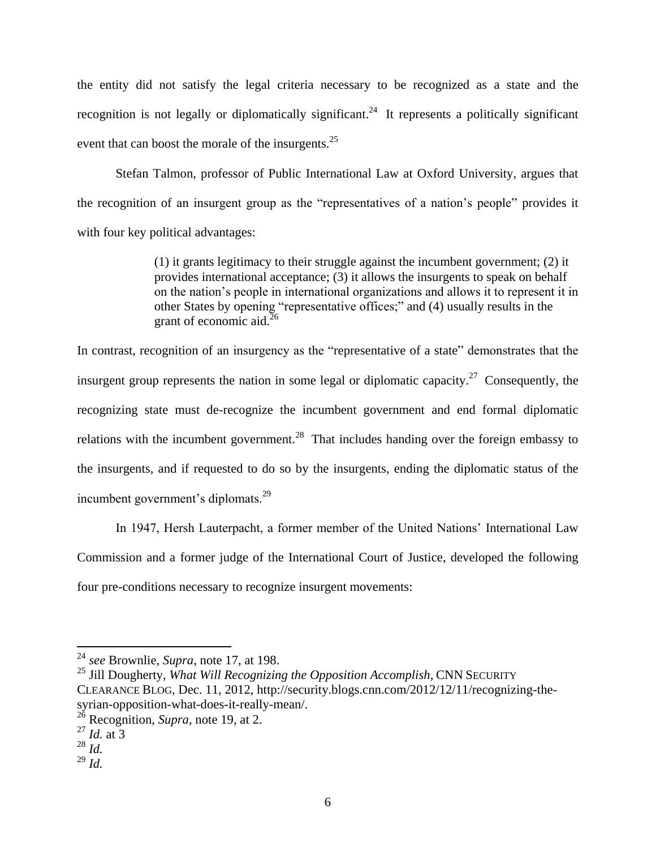the entity did not satisfy the legal criteria necessary to be recognized as a state and the recognition is not legally or diplomatically significant.<sup>24</sup> It represents a politically significant event that can boost the morale of the insurgents.<sup>25</sup>

Stefan Talmon, professor of Public International Law at Oxford University, argues that the recognition of an insurgent group as the "representatives of a nation's people" provides it with four key political advantages:

> (1) it grants legitimacy to their struggle against the incumbent government; (2) it provides international acceptance; (3) it allows the insurgents to speak on behalf on the nation's people in international organizations and allows it to represent it in other States by opening "representative offices;" and (4) usually results in the grant of economic aid. $^{26}$

In contrast, recognition of an insurgency as the "representative of a state" demonstrates that the insurgent group represents the nation in some legal or diplomatic capacity.<sup>27</sup> Consequently, the recognizing state must de-recognize the incumbent government and end formal diplomatic relations with the incumbent government.<sup>28</sup> That includes handing over the foreign embassy to the insurgents, and if requested to do so by the insurgents, ending the diplomatic status of the incumbent government's diplomats.<sup>29</sup>

In 1947, Hersh Lauterpacht, a former member of the United Nations' International Law Commission and a former judge of the International Court of Justice, developed the following four pre-conditions necessary to recognize insurgent movements:

 24 *see* Brownlie, *Supra*, note 17, at 198.

<sup>25</sup> Jill Dougherty, *What Will Recognizing the Opposition Accomplish,* CNN SECURITY CLEARANCE BLOG, Dec. 11, 2012, http://security.blogs.cnn.com/2012/12/11/recognizing-thesyrian-opposition-what-does-it-really-mean/.

<sup>26</sup> Recognition, *Supra*, note 19, at 2.

<sup>27</sup> *Id.* at 3

<sup>28</sup> *Id.*

<sup>29</sup> *Id.*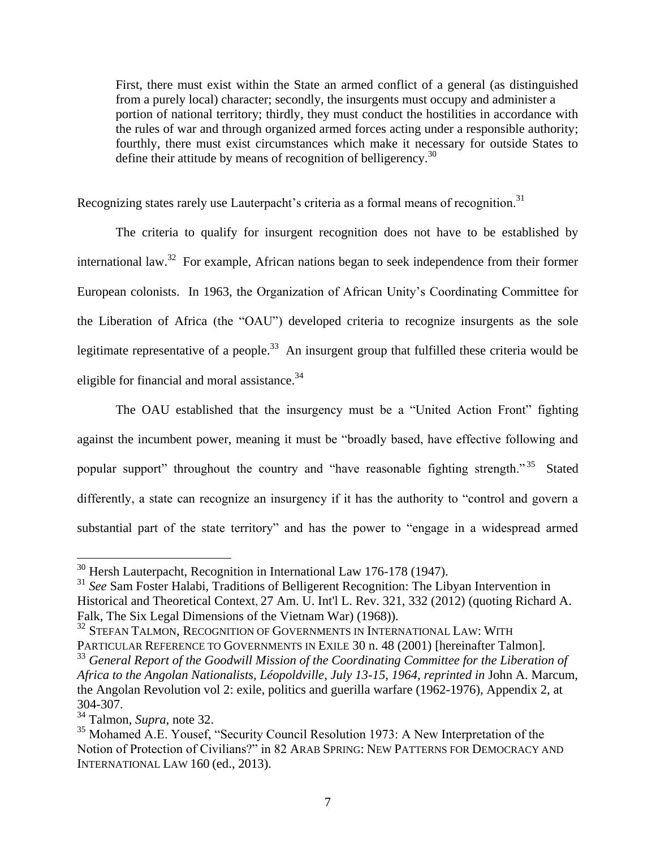First, there must exist within the State an armed conflict of a general (as distinguished from a purely local) character; secondly, the insurgents must occupy and administer a portion of national territory; thirdly, they must conduct the hostilities in accordance with the rules of war and through organized armed forces acting under a responsible authority; fourthly, there must exist circumstances which make it necessary for outside States to define their attitude by means of recognition of belligerency.<sup>30</sup>

Recognizing states rarely use Lauterpacht's criteria as a formal means of recognition.<sup>31</sup>

The criteria to qualify for insurgent recognition does not have to be established by international law.<sup>32</sup> For example, African nations began to seek independence from their former European colonists. In 1963, the Organization of African Unity's Coordinating Committee for the Liberation of Africa (the "OAU") developed criteria to recognize insurgents as the sole legitimate representative of a people.<sup>33</sup> An insurgent group that fulfilled these criteria would be eligible for financial and moral assistance.<sup>34</sup>

The OAU established that the insurgency must be a "United Action Front" fighting against the incumbent power, meaning it must be "broadly based, have effective following and popular support" throughout the country and "have reasonable fighting strength."<sup>35</sup> Stated differently, a state can recognize an insurgency if it has the authority to "control and govern a substantial part of the state territory" and has the power to "engage in a widespread armed

 $30$  Hersh Lauterpacht, Recognition in International Law 176-178 (1947).

<sup>&</sup>lt;sup>31</sup> See Sam Foster Halabi, Traditions of Belligerent Recognition: The Libyan Intervention in Historical and Theoretical Context, 27 Am. U. Int'l L. Rev. 321, 332 (2012) (quoting Richard A. Falk, The Six Legal Dimensions of the Vietnam War) (1968)).

<sup>&</sup>lt;sup>32</sup> STEFAN TALMON, RECOGNITION OF GOVERNMENTS IN INTERNATIONAL LAW: WITH PARTICULAR REFERENCE TO GOVERNMENTS IN EXILE 30 n. 48 (2001) [hereinafter Talmon].

<sup>&</sup>lt;sup>33</sup> General Report of the Goodwill Mission of the Coordinating Committee for the Liberation of *Africa to the Angolan Nationalists, Léopoldville, July 13-15, 1964, reprinted in* John A. Marcum, the Angolan Revolution vol 2: exile, politics and guerilla warfare (1962-1976), Appendix 2, at 304-307.

<sup>34</sup> Talmon, *Supra*, note 32.

<sup>&</sup>lt;sup>35</sup> Mohamed A.E. Yousef, "Security Council Resolution 1973: A New Interpretation of the Notion of Protection of Civilians?" in 82 ARAB SPRING: NEW PATTERNS FOR DEMOCRACY AND INTERNATIONAL LAW 160 (ed., 2013).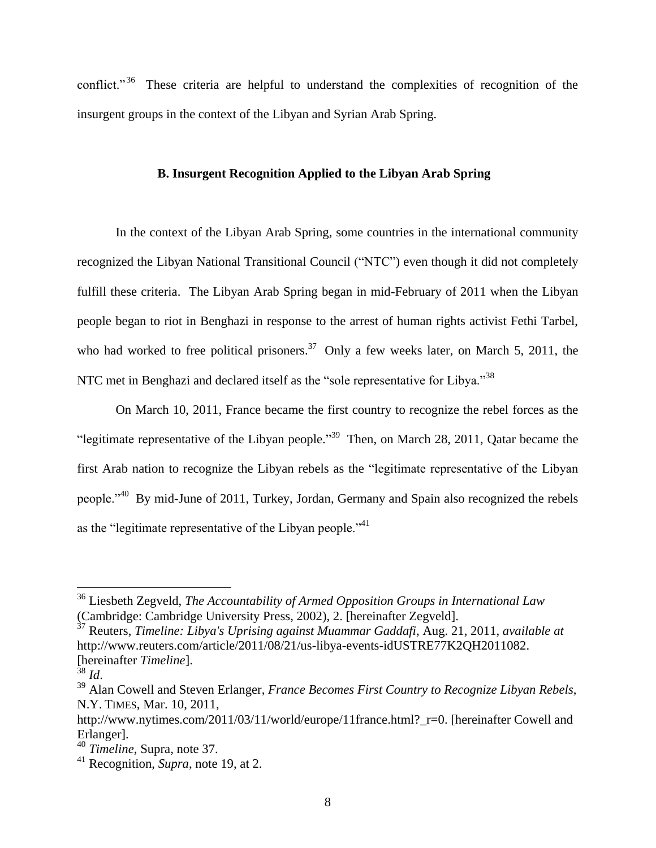conflict."<sup>36</sup> These criteria are helpful to understand the complexities of recognition of the insurgent groups in the context of the Libyan and Syrian Arab Spring*.*

## **B. Insurgent Recognition Applied to the Libyan Arab Spring**

In the context of the Libyan Arab Spring, some countries in the international community recognized the Libyan National Transitional Council ("NTC") even though it did not completely fulfill these criteria. The Libyan Arab Spring began in mid-February of 2011 when the Libyan people began to riot in Benghazi in response to the arrest of human rights activist Fethi Tarbel, who had worked to free political prisoners.<sup>37</sup> Only a few weeks later, on March 5, 2011, the NTC met in Benghazi and declared itself as the "sole representative for Libya."<sup>38</sup>

On March 10, 2011, France became the first country to recognize the rebel forces as the "legitimate representative of the Libyan people."<sup>39</sup> Then, on March 28, 2011, Qatar became the first Arab nation to recognize the Libyan rebels as the "legitimate representative of the Libyan people."<sup>40</sup> By mid-June of 2011, Turkey, Jordan, Germany and Spain also recognized the rebels as the "legitimate representative of the Libyan people." $41$ 

<sup>36</sup> Liesbeth Zegveld, *The Accountability of Armed Opposition Groups in International Law* (Cambridge: Cambridge University Press, 2002), 2. [hereinafter Zegveld].

<sup>37</sup> Reuters, *Timeline: Libya's Uprising against Muammar Gaddafi*, Aug. 21, 2011, *available at*  http://www.reuters.com/article/2011/08/21/us-libya-events-idUSTRE77K2QH2011082. [hereinafter *Timeline*].

 $rac{1}{38}$  *Id.* 

<sup>39</sup> Alan Cowell and Steven Erlanger, *France Becomes First Country to Recognize Libyan Rebels*, N.Y. TIMES, Mar. 10, 2011,

http://www.nytimes.com/2011/03/11/world/europe/11france.html? r=0. [hereinafter Cowell and Erlanger].

<sup>40</sup> *Timeline*, Supra, note 37.

<sup>41</sup> Recognition, *Supra*, note 19, at 2.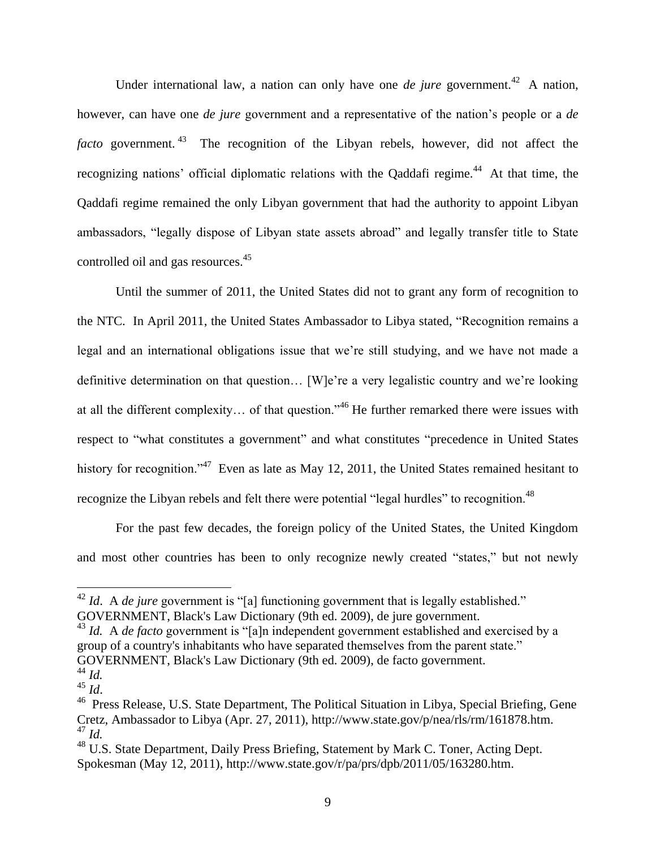Under international law, a nation can only have one *de jure* government.<sup>42</sup> A nation, however, can have one *de jure* government and a representative of the nation's people or a *de*  facto government.<sup>43</sup> The recognition of the Libyan rebels, however, did not affect the recognizing nations' official diplomatic relations with the Qaddafi regime.<sup>44</sup> At that time, the Qaddafi regime remained the only Libyan government that had the authority to appoint Libyan ambassadors, "legally dispose of Libyan state assets abroad" and legally transfer title to State controlled oil and gas resources.<sup>45</sup>

Until the summer of 2011, the United States did not to grant any form of recognition to the NTC. In April 2011, the United States Ambassador to Libya stated, "Recognition remains a legal and an international obligations issue that we're still studying, and we have not made a definitive determination on that question… [W]e're a very legalistic country and we're looking at all the different complexity… of that question."<sup>46</sup> He further remarked there were issues with respect to "what constitutes a government" and what constitutes "precedence in United States history for recognition."<sup>47</sup> Even as late as May 12, 2011, the United States remained hesitant to recognize the Libyan rebels and felt there were potential "legal hurdles" to recognition.<sup>48</sup>

For the past few decades, the foreign policy of the United States, the United Kingdom and most other countries has been to only recognize newly created "states," but not newly

<sup>&</sup>lt;sup>42</sup> *Id.* A *de jure* government is "[a] functioning government that is legally established." GOVERNMENT, Black's Law Dictionary (9th ed. 2009), de jure government.

<sup>&</sup>lt;sup>43</sup> *Id.* A *de facto* government is "[a]n independent government established and exercised by a group of a country's inhabitants who have separated themselves from the parent state." GOVERNMENT, Black's Law Dictionary (9th ed. 2009), de facto government.

<sup>44</sup> *Id.*

 $45 \overline{Id}$ .

<sup>&</sup>lt;sup>46</sup> Press Release, U.S. State Department, The Political Situation in Libya, Special Briefing, Gene Cretz, Ambassador to Libya (Apr. 27, 2011), http://www.state.gov/p/nea/rls/rm/161878.htm. <sup>47</sup> *Id.*

<sup>&</sup>lt;sup>48</sup> U.S. State Department, Daily Press Briefing, Statement by Mark C. Toner, Acting Dept. Spokesman (May 12, 2011), http://www.state.gov/r/pa/prs/dpb/2011/05/163280.htm.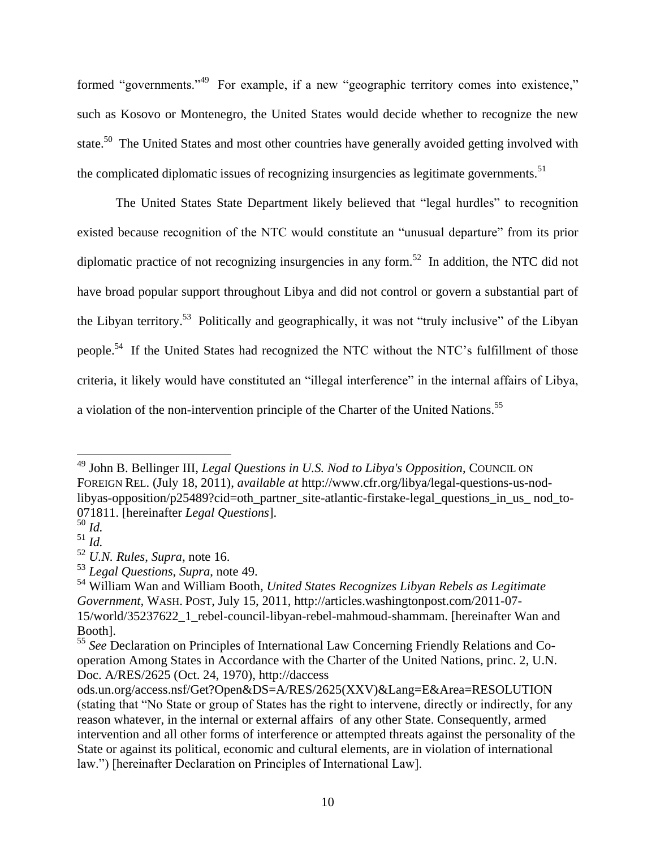formed "governments."<sup>49</sup> For example, if a new "geographic territory comes into existence," such as Kosovo or Montenegro, the United States would decide whether to recognize the new state.<sup>50</sup> The United States and most other countries have generally avoided getting involved with the complicated diplomatic issues of recognizing insurgencies as legitimate governments.<sup>51</sup>

The United States State Department likely believed that "legal hurdles" to recognition existed because recognition of the NTC would constitute an "unusual departure" from its prior diplomatic practice of not recognizing insurgencies in any form.<sup>52</sup> In addition, the NTC did not have broad popular support throughout Libya and did not control or govern a substantial part of the Libyan territory.<sup>53</sup> Politically and geographically, it was not "truly inclusive" of the Libyan people.<sup>54</sup> If the United States had recognized the NTC without the NTC's fulfillment of those criteria, it likely would have constituted an "illegal interference" in the internal affairs of Libya, a violation of the non-intervention principle of the Charter of the United Nations.<sup>55</sup>

 $\overline{a}$ <sup>49</sup> John B. Bellinger III, *Legal Questions in U.S. Nod to Libya's Opposition*, COUNCIL ON FOREIGN REL. (July 18, 2011), *available at* http://www.cfr.org/libya/legal-questions-us-nodlibyas-opposition/p25489?cid=oth\_partner\_site-atlantic-firstake-legal\_questions\_in\_us\_ nod\_to-071811. [hereinafter *Legal Questions*].

<sup>50</sup> *Id.*

<sup>51</sup> *Id.*

<sup>52</sup> *U.N. Rules*, *Supra*, note 16.

<sup>53</sup> *Legal Questions*, *Supra*, note 49.

<sup>54</sup> William Wan and William Booth, *United States Recognizes Libyan Rebels as Legitimate Government,* WASH. POST, July 15, 2011, http://articles.washingtonpost.com/2011-07- 15/world/35237622\_1\_rebel-council-libyan-rebel-mahmoud-shammam. [hereinafter Wan and Booth].

<sup>55</sup> *See* Declaration on Principles of International Law Concerning Friendly Relations and Cooperation Among States in Accordance with the Charter of the United Nations, princ. 2, U.N. Doc. A/RES/2625 (Oct. 24, 1970), http://daccess

ods.un.org/access.nsf/Get?Open&DS=A/RES/2625(XXV)&Lang=E&Area=RESOLUTION (stating that "No State or group of States has the right to intervene, directly or indirectly, for any reason whatever, in the internal or external affairs of any other State. Consequently, armed intervention and all other forms of interference or attempted threats against the personality of the State or against its political, economic and cultural elements, are in violation of international law.") [hereinafter Declaration on Principles of International Law].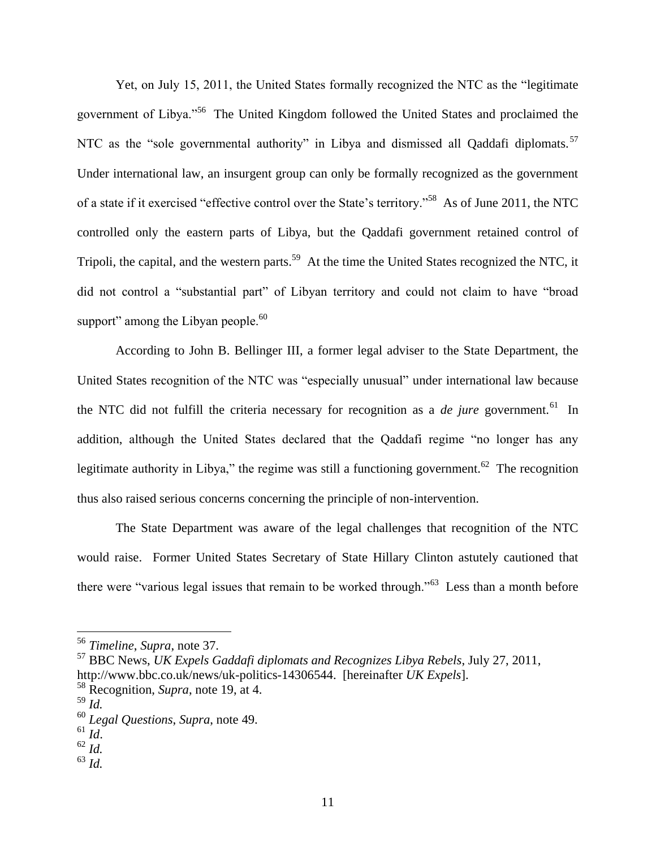Yet, on July 15, 2011, the United States formally recognized the NTC as the "legitimate government of Libya."<sup>56</sup> The United Kingdom followed the United States and proclaimed the NTC as the "sole governmental authority" in Libya and dismissed all Oaddafi diplomats.<sup>57</sup> Under international law, an insurgent group can only be formally recognized as the government of a state if it exercised "effective control over the State's territory."<sup>58</sup> As of June 2011, the NTC controlled only the eastern parts of Libya, but the Qaddafi government retained control of Tripoli, the capital, and the western parts.<sup>59</sup> At the time the United States recognized the NTC, it did not control a "substantial part" of Libyan territory and could not claim to have "broad support" among the Libyan people. $^{60}$ 

According to John B. Bellinger III, a former legal adviser to the State Department, the United States recognition of the NTC was "especially unusual" under international law because the NTC did not fulfill the criteria necessary for recognition as a *de jure* government.<sup>61</sup> In addition, although the United States declared that the Qaddafi regime "no longer has any legitimate authority in Libya," the regime was still a functioning government.<sup>62</sup> The recognition thus also raised serious concerns concerning the principle of non-intervention.

The State Department was aware of the legal challenges that recognition of the NTC would raise. Former United States Secretary of State Hillary Clinton astutely cautioned that there were "various legal issues that remain to be worked through."<sup>63</sup> Less than a month before

 $\overline{a}$ 

<sup>63</sup> *Id.*

<sup>56</sup> *Timeline*, *Supra*, note 37.

<sup>57</sup> BBC News, *UK Expels Gaddafi diplomats and Recognizes Libya Rebels*, July 27, 2011, http://www.bbc.co.uk/news/uk-politics-14306544. [hereinafter *UK Expels*].

<sup>58</sup> Recognition, *Supra*, note 19, at 4.

<sup>59</sup> *Id.*

<sup>60</sup> *Legal Questions*, *Supra*, note 49.

 $61$  *Id.* 

<sup>62</sup> *Id.*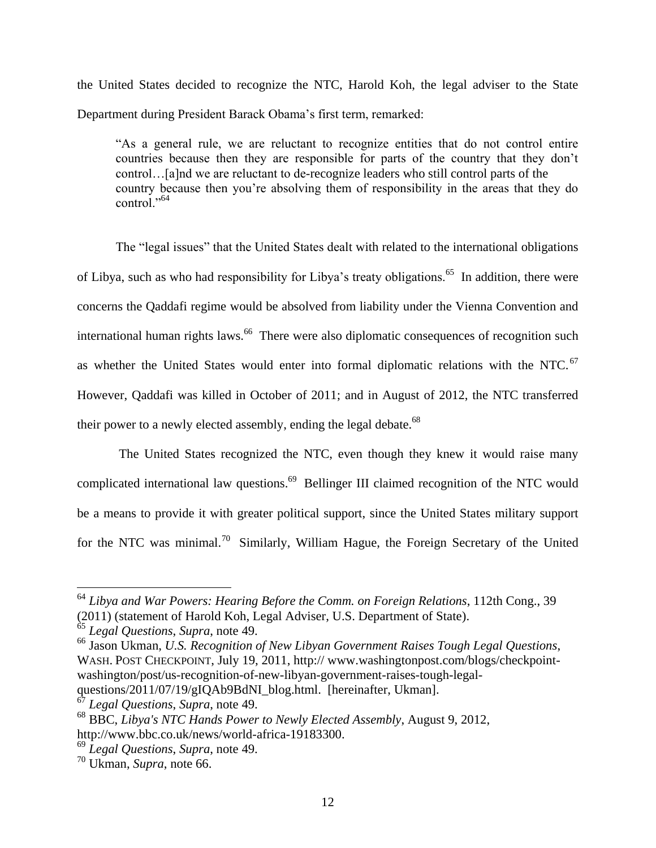the United States decided to recognize the NTC, Harold Koh, the legal adviser to the State Department during President Barack Obama's first term, remarked:

"As a general rule, we are reluctant to recognize entities that do not control entire countries because then they are responsible for parts of the country that they don't control…[a]nd we are reluctant to de-recognize leaders who still control parts of the country because then you're absolving them of responsibility in the areas that they do control. $^{564}$ 

The "legal issues" that the United States dealt with related to the international obligations of Libya, such as who had responsibility for Libya's treaty obligations.<sup>65</sup> In addition, there were concerns the Qaddafi regime would be absolved from liability under the Vienna Convention and international human rights laws.<sup>66</sup> There were also diplomatic consequences of recognition such as whether the United States would enter into formal diplomatic relations with the NTC.<sup>67</sup> However, Qaddafi was killed in October of 2011; and in August of 2012, the NTC transferred their power to a newly elected assembly, ending the legal debate.<sup>68</sup>

The United States recognized the NTC, even though they knew it would raise many complicated international law questions.<sup>69</sup> Bellinger III claimed recognition of the NTC would be a means to provide it with greater political support, since the United States military support for the NTC was minimal.<sup>70</sup> Similarly, William Hague, the Foreign Secretary of the United

<sup>64</sup> *Libya and War Powers: Hearing Before the Comm. on Foreign Relations*, 112th Cong., 39 (2011) (statement of Harold Koh, Legal Adviser, U.S. Department of State).

<sup>65</sup> *Legal Questions*, *Supra*, note 49.

<sup>66</sup> Jason Ukman, *U.S. Recognition of New Libyan Government Raises Tough Legal Questions*, WASH. POST CHECKPOINT, July 19, 2011, http:// www.washingtonpost.com/blogs/checkpointwashington/post/us-recognition-of-new-libyan-government-raises-tough-legal-

questions/2011/07/19/gIQAb9BdNI\_blog.html. [hereinafter, Ukman].

<sup>67</sup> *Legal Questions*, *Supra*, note 49.

<sup>68</sup> BBC, *Libya's NTC Hands Power to Newly Elected Assembly*, August 9, 2012, http://www.bbc.co.uk/news/world-africa-19183300.

<sup>69</sup> *Legal Questions*, *Supra*, note 49.

<sup>70</sup> Ukman, *Supra*, note 66.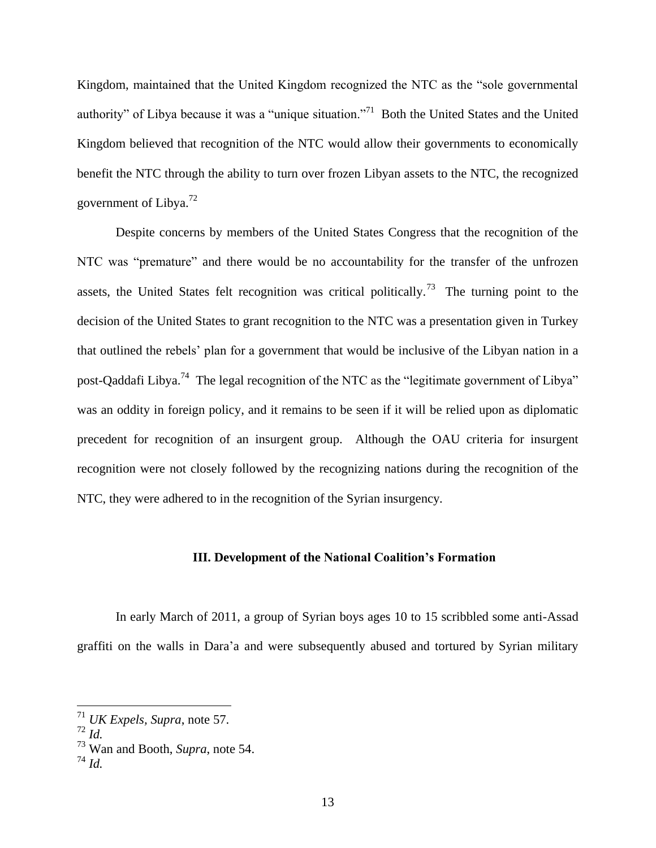Kingdom, maintained that the United Kingdom recognized the NTC as the "sole governmental authority" of Libya because it was a "unique situation."<sup>71</sup> Both the United States and the United Kingdom believed that recognition of the NTC would allow their governments to economically benefit the NTC through the ability to turn over frozen Libyan assets to the NTC, the recognized government of Libya.<sup>72</sup>

Despite concerns by members of the United States Congress that the recognition of the NTC was "premature" and there would be no accountability for the transfer of the unfrozen assets, the United States felt recognition was critical politically.<sup>73</sup> The turning point to the decision of the United States to grant recognition to the NTC was a presentation given in Turkey that outlined the rebels' plan for a government that would be inclusive of the Libyan nation in a post-Qaddafi Libya.<sup>74</sup> The legal recognition of the NTC as the "legitimate government of Libya" was an oddity in foreign policy, and it remains to be seen if it will be relied upon as diplomatic precedent for recognition of an insurgent group. Although the OAU criteria for insurgent recognition were not closely followed by the recognizing nations during the recognition of the NTC, they were adhered to in the recognition of the Syrian insurgency*.*

#### **III. Development of the National Coalition's Formation**

In early March of 2011, a group of Syrian boys ages 10 to 15 scribbled some anti-Assad graffiti on the walls in Dara'a and were subsequently abused and tortured by Syrian military

<sup>71</sup> *UK Expels, Supra*, note 57.

 $72 \dot{I}$ *d.* 

<sup>73</sup> Wan and Booth, *Supra*, note 54.

 $^{74}$  *Id.*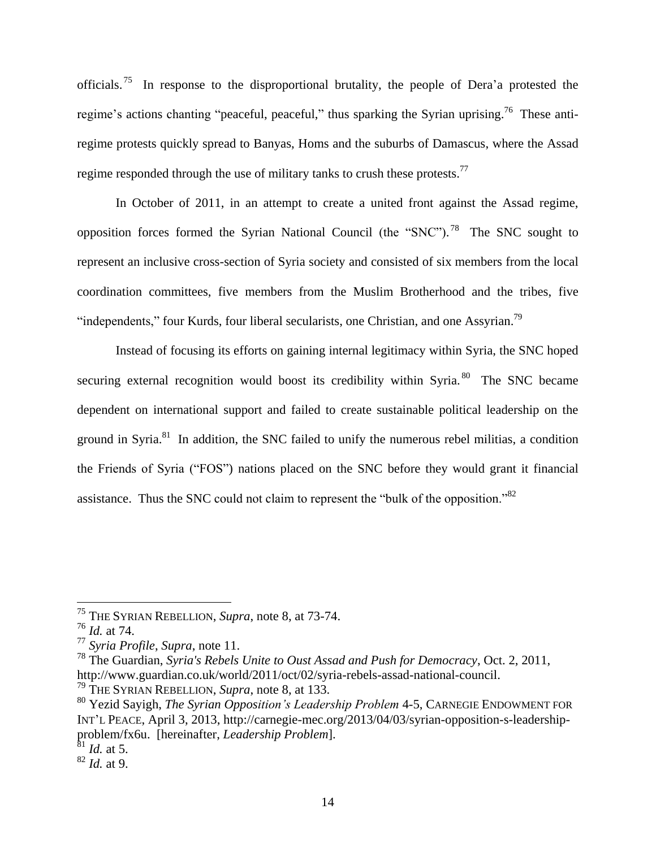officials.<sup>75</sup> In response to the disproportional brutality, the people of Dera'a protested the regime's actions chanting "peaceful, peaceful," thus sparking the Syrian uprising.<sup>76</sup> These antiregime protests quickly spread to Banyas, Homs and the suburbs of Damascus, where the Assad regime responded through the use of military tanks to crush these protests.<sup>77</sup>

In October of 2011, in an attempt to create a united front against the Assad regime, opposition forces formed the Syrian National Council (the "SNC").<sup>78</sup> The SNC sought to represent an inclusive cross-section of Syria society and consisted of six members from the local coordination committees, five members from the Muslim Brotherhood and the tribes, five "independents," four Kurds, four liberal secularists, one Christian, and one Assyrian.<sup>79</sup>

Instead of focusing its efforts on gaining internal legitimacy within Syria, the SNC hoped securing external recognition would boost its credibility within Syria.<sup>80</sup> The SNC became dependent on international support and failed to create sustainable political leadership on the ground in Syria. $81$  In addition, the SNC failed to unify the numerous rebel militias, a condition the Friends of Syria ("FOS") nations placed on the SNC before they would grant it financial assistance. Thus the SNC could not claim to represent the "bulk of the opposition."<sup>82</sup>

<sup>75</sup> THE SYRIAN REBELLION, *Supra*, note 8, at 73-74.

<sup>76</sup> *Id.* at 74.

<sup>77</sup> *Syria Profile*, *Supra*, note 11.

<sup>78</sup> The Guardian, *Syria's Rebels Unite to Oust Assad and Push for Democracy*, Oct. 2, 2011, http://www.guardian.co.uk/world/2011/oct/02/syria-rebels-assad-national-council.

<sup>79</sup> THE SYRIAN REBELLION, *Supra*, note 8, at 133.

<sup>80</sup> Yezid Sayigh, *The Syrian Opposition's Leadership Problem* 4-5, CARNEGIE ENDOWMENT FOR INT'L PEACE, April 3, 2013, http://carnegie-mec.org/2013/04/03/syrian-opposition-s-leadershipproblem/fx6u. [hereinafter, *Leadership Problem*].

<sup>81</sup> *Id.* at 5.

<sup>82</sup> *Id.* at 9.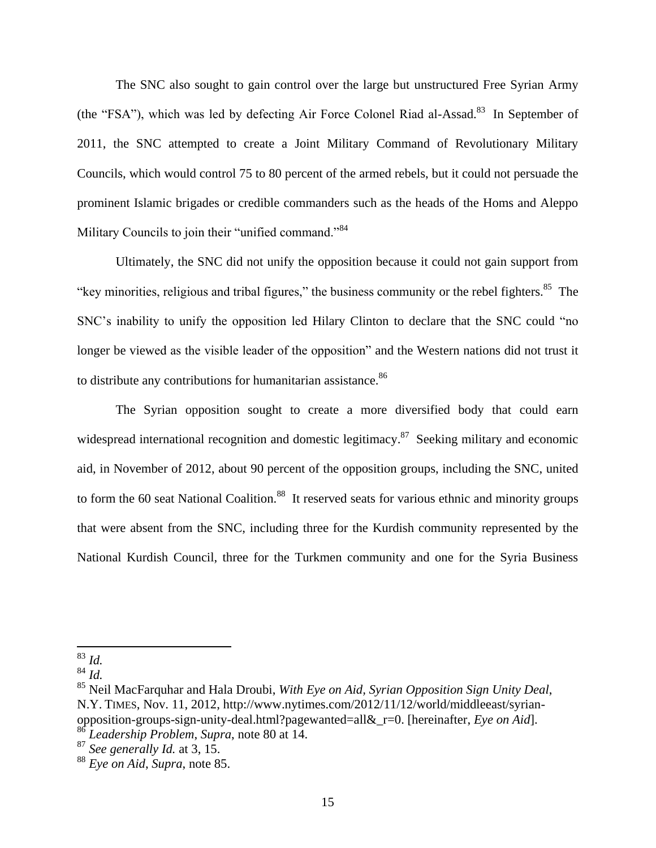The SNC also sought to gain control over the large but unstructured Free Syrian Army (the "FSA"), which was led by defecting Air Force Colonel Riad al-Assad.<sup>83</sup> In September of 2011, the SNC attempted to create a Joint Military Command of Revolutionary Military Councils, which would control 75 to 80 percent of the armed rebels, but it could not persuade the prominent Islamic brigades or credible commanders such as the heads of the Homs and Aleppo Military Councils to join their "unified command."<sup>84</sup>

Ultimately, the SNC did not unify the opposition because it could not gain support from "key minorities, religious and tribal figures," the business community or the rebel fighters. $85$  The SNC's inability to unify the opposition led Hilary Clinton to declare that the SNC could "no longer be viewed as the visible leader of the opposition" and the Western nations did not trust it to distribute any contributions for humanitarian assistance.<sup>86</sup>

The Syrian opposition sought to create a more diversified body that could earn widespread international recognition and domestic legitimacy.<sup>87</sup> Seeking military and economic aid, in November of 2012, about 90 percent of the opposition groups, including the SNC, united to form the 60 seat National Coalition.<sup>88</sup> It reserved seats for various ethnic and minority groups that were absent from the SNC, including three for the Kurdish community represented by the National Kurdish Council, three for the Turkmen community and one for the Syria Business

<sup>83</sup> *Id.*

<sup>84</sup> *Id.*

<sup>85</sup> Neil MacFarquhar and Hala Droubi, *With Eye on Aid, Syrian Opposition Sign Unity Deal*, N.Y. TIMES, Nov. 11, 2012, http://www.nytimes.com/2012/11/12/world/middleeast/syrianopposition-groups-sign-unity-deal.html?pagewanted=all&\_r=0. [hereinafter, *Eye on Aid*].

<sup>86</sup> *Leadership Problem*, *Supra*, note 80 at 14.

<sup>87</sup> *See generally Id.* at 3, 15.

<sup>88</sup> *Eye on Aid*, *Supra*, note 85.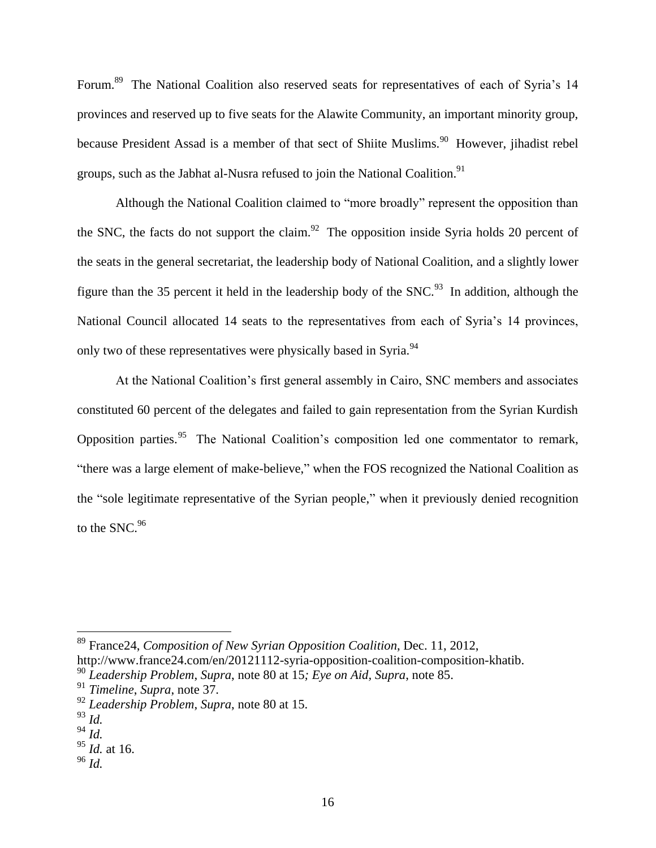Forum.<sup>89</sup> The National Coalition also reserved seats for representatives of each of Syria's 14 provinces and reserved up to five seats for the Alawite Community, an important minority group, because President Assad is a member of that sect of Shiite Muslims.<sup>90</sup> However, jihadist rebel groups, such as the Jabhat al-Nusra refused to join the National Coalition.<sup>91</sup>

Although the National Coalition claimed to "more broadly" represent the opposition than the SNC, the facts do not support the claim.<sup>92</sup> The opposition inside Syria holds 20 percent of the seats in the general secretariat, the leadership body of National Coalition, and a slightly lower figure than the 35 percent it held in the leadership body of the SNC.<sup>93</sup> In addition, although the National Council allocated 14 seats to the representatives from each of Syria's 14 provinces, only two of these representatives were physically based in Syria.<sup>94</sup>

At the National Coalition's first general assembly in Cairo, SNC members and associates constituted 60 percent of the delegates and failed to gain representation from the Syrian Kurdish Opposition parties.<sup>95</sup> The National Coalition's composition led one commentator to remark, "there was a large element of make-believe," when the FOS recognized the National Coalition as the "sole legitimate representative of the Syrian people," when it previously denied recognition to the SNC.<sup>96</sup>

 $\overline{a}$ 

<sup>96</sup> *Id.*

<sup>89</sup> France24, *Composition of New Syrian Opposition Coalition*, Dec. 11, 2012,

http://www.france24.com/en/20121112-syria-opposition-coalition-composition-khatib.

<sup>90</sup> *Leadership Problem*, *Supra*, note 80 at 15*; Eye on Aid, Supra*, note 85.

<sup>91</sup> *Timeline*, *Supra*, note 37.

<sup>92</sup> *Leadership Problem*, *Supra*, note 80 at 15.

<sup>93</sup> *Id.*

<sup>94</sup> *Id.*

<sup>95</sup> *Id.* at 16.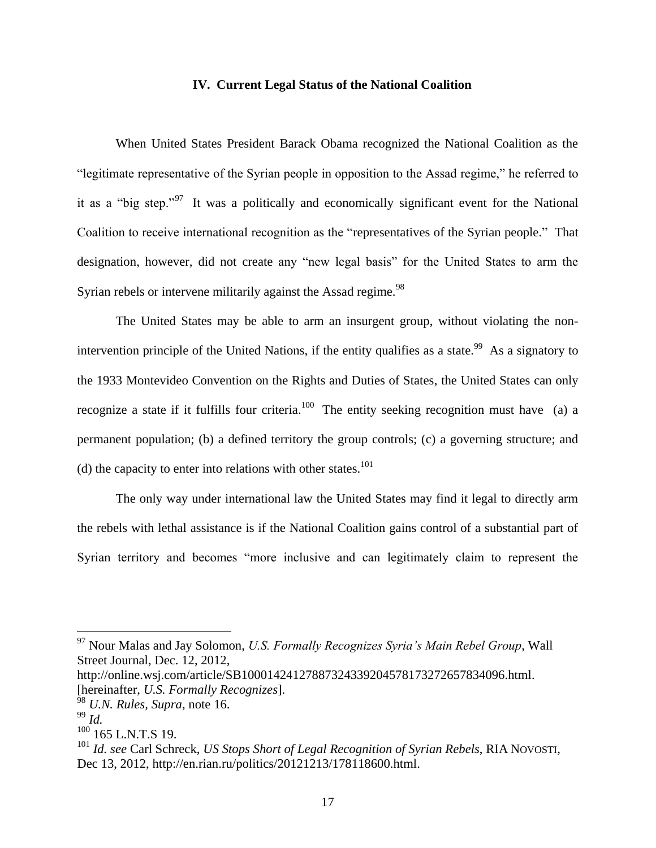#### **IV. Current Legal Status of the National Coalition**

When United States President Barack Obama recognized the National Coalition as the "legitimate representative of the Syrian people in opposition to the Assad regime," he referred to it as a "big step."<sup>97</sup> It was a politically and economically significant event for the National Coalition to receive international recognition as the "representatives of the Syrian people." That designation, however, did not create any "new legal basis" for the United States to arm the Syrian rebels or intervene militarily against the Assad regime.<sup>98</sup>

The United States may be able to arm an insurgent group, without violating the nonintervention principle of the United Nations, if the entity qualifies as a state.<sup>99</sup> As a signatory to the 1933 Montevideo Convention on the Rights and Duties of States, the United States can only recognize a state if it fulfills four criteria.<sup>100</sup> The entity seeking recognition must have (a) a permanent population; (b) a defined territory the group controls; (c) a governing structure; and (d) the capacity to enter into relations with other states.<sup>101</sup>

The only way under international law the United States may find it legal to directly arm the rebels with lethal assistance is if the National Coalition gains control of a substantial part of Syrian territory and becomes "more inclusive and can legitimately claim to represent the

http://online.wsj.com/article/SB10001424127887324339204578173272657834096.html. [hereinafter, *U.S. Formally Recognizes*].

<sup>97</sup> Nour Malas and Jay Solomon, *U.S. Formally Recognizes Syria's Main Rebel Group*, Wall Street Journal, Dec. 12, 2012,

<sup>98</sup> *U.N. Rules, Supra*, note 16.

<sup>99</sup> *Id.*

 $100$  165 L.N.T.S 19.

<sup>101</sup> *Id. see* Carl Schreck, *US Stops Short of Legal Recognition of Syrian Rebels*, RIA NOVOSTI, Dec 13, 2012, http://en.rian.ru/politics/20121213/178118600.html.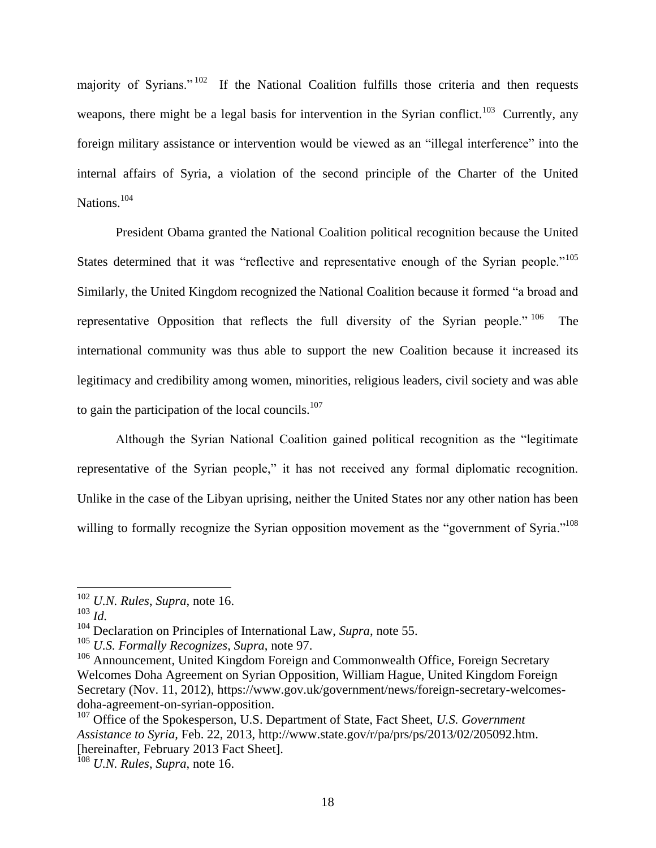majority of Syrians."<sup>102</sup> If the National Coalition fulfills those criteria and then requests weapons, there might be a legal basis for intervention in the Syrian conflict.<sup>103</sup> Currently, any foreign military assistance or intervention would be viewed as an "illegal interference" into the internal affairs of Syria, a violation of the second principle of the Charter of the United Nations.<sup>104</sup>

President Obama granted the National Coalition political recognition because the United States determined that it was "reflective and representative enough of the Syrian people."<sup>105</sup> Similarly, the United Kingdom recognized the National Coalition because it formed "a broad and representative Opposition that reflects the full diversity of the Syrian people." <sup>106</sup> The international community was thus able to support the new Coalition because it increased its legitimacy and credibility among women, minorities, religious leaders, civil society and was able to gain the participation of the local councils. $107$ 

Although the Syrian National Coalition gained political recognition as the "legitimate representative of the Syrian people," it has not received any formal diplomatic recognition. Unlike in the case of the Libyan uprising, neither the United States nor any other nation has been willing to formally recognize the Syrian opposition movement as the "government of Syria."<sup>108</sup>

<sup>102</sup> *U.N. Rules*, *Supra*, note 16.

<sup>103</sup> *Id.*

<sup>104</sup> Declaration on Principles of International Law, *Supra*, note 55.

<sup>105</sup> *U.S. Formally Recognizes*, *Supra*, note 97.

<sup>&</sup>lt;sup>106</sup> Announcement, United Kingdom Foreign and Commonwealth Office, Foreign Secretary Welcomes Doha Agreement on Syrian Opposition, William Hague, United Kingdom Foreign Secretary (Nov. 11, 2012), https://www.gov.uk/government/news/foreign-secretary-welcomesdoha-agreement-on-syrian-opposition.

<sup>107</sup> Office of the Spokesperson, U.S. Department of State, Fact Sheet, *U.S. Government Assistance to Syria,* Feb. 22, 2013, http://www.state.gov/r/pa/prs/ps/2013/02/205092.htm. [hereinafter, February 2013 Fact Sheet].

<sup>108</sup> *U.N. Rules*, *Supra*, note 16.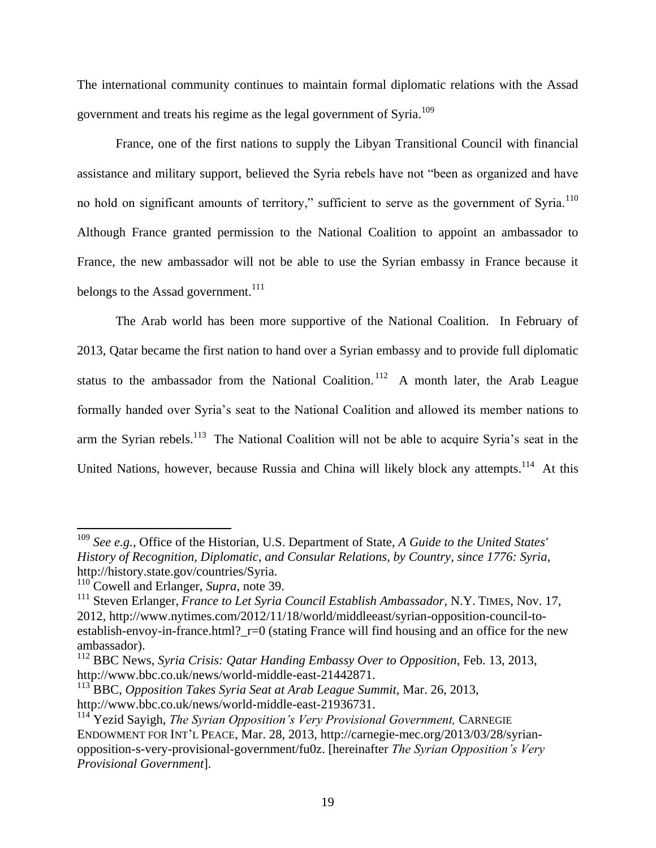The international community continues to maintain formal diplomatic relations with the Assad government and treats his regime as the legal government of Syria.<sup>109</sup>

France, one of the first nations to supply the Libyan Transitional Council with financial assistance and military support, believed the Syria rebels have not "been as organized and have no hold on significant amounts of territory," sufficient to serve as the government of Syria.<sup>110</sup> Although France granted permission to the National Coalition to appoint an ambassador to France, the new ambassador will not be able to use the Syrian embassy in France because it belongs to the Assad government.<sup>111</sup>

The Arab world has been more supportive of the National Coalition. In February of 2013, Qatar became the first nation to hand over a Syrian embassy and to provide full diplomatic status to the ambassador from the National Coalition.<sup>112</sup> A month later, the Arab League formally handed over Syria's seat to the National Coalition and allowed its member nations to arm the Syrian rebels.<sup>113</sup> The National Coalition will not be able to acquire Syria's seat in the United Nations, however, because Russia and China will likely block any attempts.<sup>114</sup> At this

<sup>109</sup> *See e.g.*, Office of the Historian, U.S. Department of State, *A Guide to the United States' History of Recognition, Diplomatic, and Consular Relations, by Country, since 1776: Syria*, http://history.state.gov/countries/Syria.

<sup>&</sup>lt;sup>110</sup> Cowell and Erlanger, *Supra*, note 39.

<sup>111</sup> Steven Erlanger, *France to Let Syria Council Establish Ambassador*, N.Y. TIMES, Nov. 17, 2012, http://www.nytimes.com/2012/11/18/world/middleeast/syrian-opposition-council-toestablish-envoy-in-france.html? r=0 (stating France will find housing and an office for the new ambassador).

<sup>112</sup> BBC News, *Syria Crisis: Qatar Handing Embassy Over to Opposition*, Feb. 13, 2013, http://www.bbc.co.uk/news/world-middle-east-21442871.

<sup>113</sup> BBC, *Opposition Takes Syria Seat at Arab League Summit*, Mar. 26, 2013, http://www.bbc.co.uk/news/world-middle-east-21936731.

<sup>&</sup>lt;sup>114</sup> Yezid Sayigh, *The Syrian Opposition's Very Provisional Government*, CARNEGIE ENDOWMENT FOR INT'L PEACE, Mar. 28, 2013, http://carnegie-mec.org/2013/03/28/syrianopposition-s-very-provisional-government/fu0z. [hereinafter *The Syrian Opposition's Very Provisional Government*].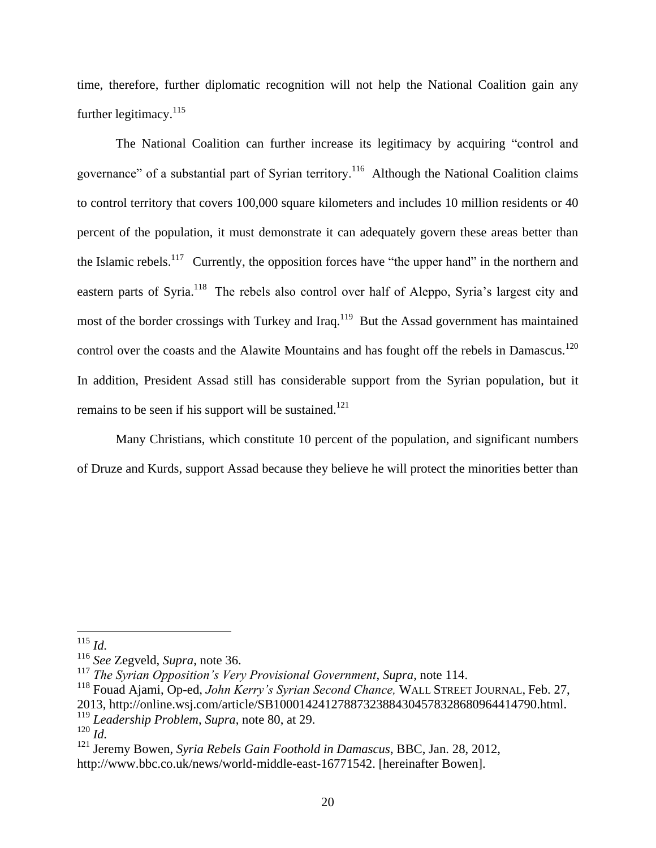time, therefore, further diplomatic recognition will not help the National Coalition gain any further legitimacy.<sup>115</sup>

The National Coalition can further increase its legitimacy by acquiring "control and governance" of a substantial part of Syrian territory.<sup>116</sup> Although the National Coalition claims to control territory that covers 100,000 square kilometers and includes 10 million residents or 40 percent of the population, it must demonstrate it can adequately govern these areas better than the Islamic rebels.<sup>117</sup> Currently, the opposition forces have "the upper hand" in the northern and eastern parts of Syria.<sup>118</sup> The rebels also control over half of Aleppo, Syria's largest city and most of the border crossings with Turkey and Iraq.<sup>119</sup> But the Assad government has maintained control over the coasts and the Alawite Mountains and has fought off the rebels in Damascus.<sup>120</sup> In addition, President Assad still has considerable support from the Syrian population, but it remains to be seen if his support will be sustained.<sup>121</sup>

Many Christians, which constitute 10 percent of the population, and significant numbers of Druze and Kurds, support Assad because they believe he will protect the minorities better than

<sup>115</sup> *Id.*

<sup>116</sup> *See* Zegveld, *Supra*, note 36.

<sup>117</sup> *The Syrian Opposition's Very Provisional Government*, *Supra*, note 114.

<sup>118</sup> Fouad Ajami, Op-ed, *John Kerry's Syrian Second Chance,* WALL STREET JOURNAL, Feb. 27, 2013, http://online.wsj.com/article/SB10001424127887323884304578328680964414790.html.

<sup>119</sup> *Leadership Problem*, *Supra*, note 80, at 29.

 $120$   $\overline{Id}$ .

<sup>121</sup> Jeremy Bowen, *Syria Rebels Gain Foothold in Damascus*, BBC, Jan. 28, 2012, http://www.bbc.co.uk/news/world-middle-east-16771542. [hereinafter Bowen].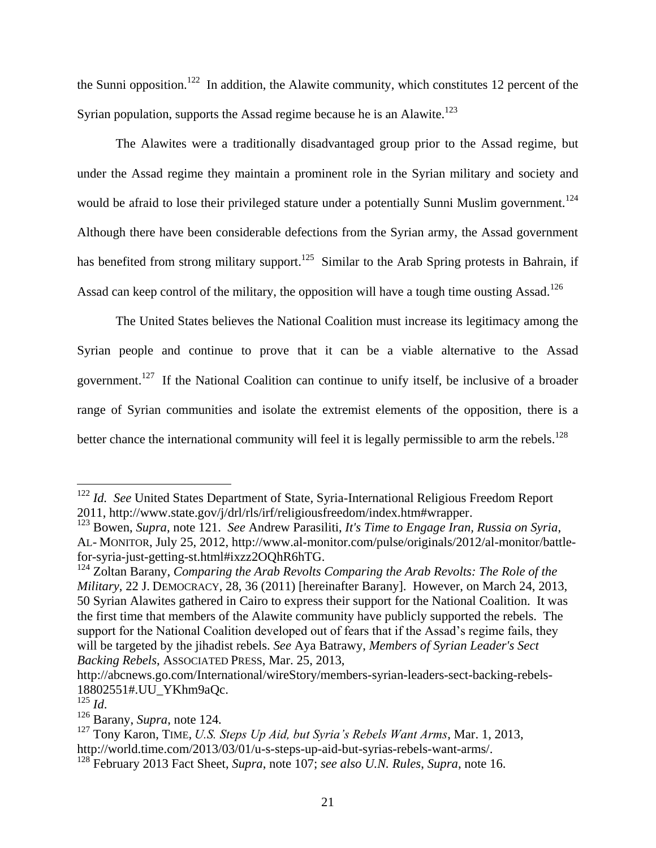the Sunni opposition.<sup>122</sup> In addition, the Alawite community, which constitutes 12 percent of the Syrian population, supports the Assad regime because he is an Alawite.<sup>123</sup>

The Alawites were a traditionally disadvantaged group prior to the Assad regime, but under the Assad regime they maintain a prominent role in the Syrian military and society and would be afraid to lose their privileged stature under a potentially Sunni Muslim government.<sup>124</sup> Although there have been considerable defections from the Syrian army, the Assad government has benefited from strong military support.<sup>125</sup> Similar to the Arab Spring protests in Bahrain, if Assad can keep control of the military, the opposition will have a tough time ousting Assad.<sup>126</sup>

The United States believes the National Coalition must increase its legitimacy among the Syrian people and continue to prove that it can be a viable alternative to the Assad government.<sup>127</sup> If the National Coalition can continue to unify itself, be inclusive of a broader range of Syrian communities and isolate the extremist elements of the opposition, there is a better chance the international community will feel it is legally permissible to arm the rebels.<sup>128</sup>

<sup>122</sup> *Id. See* United States Department of State, Syria-International Religious Freedom Report 2011, http://www.state.gov/j/drl/rls/irf/religiousfreedom/index.htm#wrapper.

<sup>123</sup> Bowen, *Supra*, note 121. *See* Andrew Parasiliti, *It's Time to Engage Iran, Russia on Syria*, AL- MONITOR, July 25, 2012, http://www.al-monitor.com/pulse/originals/2012/al-monitor/battlefor-syria-just-getting-st.html#ixzz2OQhR6hTG.

<sup>124</sup> Zoltan Barany, *Comparing the Arab Revolts Comparing the Arab Revolts: The Role of the Military*, 22 J. DEMOCRACY, 28, 36 (2011) [hereinafter Barany]. However, on March 24, 2013, 50 Syrian Alawites gathered in Cairo to express their support for the National Coalition. It was the first time that members of the Alawite community have publicly supported the rebels. The support for the National Coalition developed out of fears that if the Assad's regime fails, they will be targeted by the jihadist rebels. *See* Aya Batrawy, *Members of Syrian Leader's Sect Backing Rebels*, ASSOCIATED PRESS, Mar. 25, 2013,

http://abcnews.go.com/International/wireStory/members-syrian-leaders-sect-backing-rebels-18802551#.UU\_YKhm9aQc.

<sup>125</sup> *Id*.

<sup>126</sup> Barany, *Supra*, note 124*.*

<sup>127</sup> Tony Karon, TIME*, U.S. Steps Up Aid, but Syria's Rebels Want Arms*, Mar. 1, 2013, http://world.time.com/2013/03/01/u-s-steps-up-aid-but-syrias-rebels-want-arms/.

<sup>128</sup> February 2013 Fact Sheet, *Supra*, note 107; *see also U.N. Rules*, *Supra*, note 16.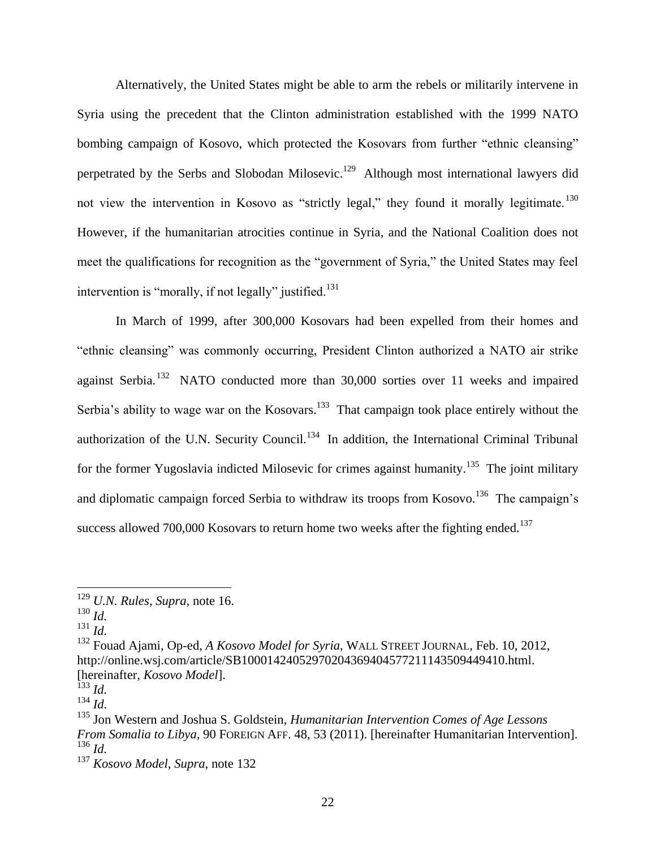Alternatively, the United States might be able to arm the rebels or militarily intervene in Syria using the precedent that the Clinton administration established with the 1999 NATO bombing campaign of Kosovo, which protected the Kosovars from further "ethnic cleansing" perpetrated by the Serbs and Slobodan Milosevic.<sup>129</sup> Although most international lawyers did not view the intervention in Kosovo as "strictly legal," they found it morally legitimate.<sup>130</sup> However, if the humanitarian atrocities continue in Syria, and the National Coalition does not meet the qualifications for recognition as the "government of Syria," the United States may feel intervention is "morally, if not legally" justified.<sup>131</sup>

In March of 1999, after 300,000 Kosovars had been expelled from their homes and "ethnic cleansing" was commonly occurring, President Clinton authorized a NATO air strike against Serbia.<sup>132</sup> NATO conducted more than 30,000 sorties over 11 weeks and impaired Serbia's ability to wage war on the Kosovars.<sup>133</sup> That campaign took place entirely without the authorization of the U.N. Security Council.<sup>134</sup> In addition, the International Criminal Tribunal for the former Yugoslavia indicted Milosevic for crimes against humanity.<sup>135</sup> The joint military and diplomatic campaign forced Serbia to withdraw its troops from Kosovo.<sup>136</sup> The campaign's success allowed 700,000 Kosovars to return home two weeks after the fighting ended.<sup>137</sup>

<sup>129</sup> *U.N. Rules*, *Supra*, note 16.

<sup>130</sup> *Id.*

 $^{131}$  *Id.* 

<sup>132</sup> Fouad Ajami, Op-ed, *A Kosovo Model for Syria*, WALL STREET JOURNAL, Feb. 10, 2012, http://online.wsj.com/article/SB10001424052970204369404577211143509449410.html. [hereinafter, *Kosovo Model*].

<sup>133</sup> *Id.*

<sup>134</sup> *Id.*

<sup>135</sup> Jon Western and Joshua S. Goldstein, *Humanitarian Intervention Comes of Age Lessons From Somalia to Libya,* 90 FOREIGN AFF. 48, 53 (2011). [hereinafter Humanitarian Intervention]. <sup>136</sup> *Id.*

<sup>137</sup> *Kosovo Model, Supra*, note 132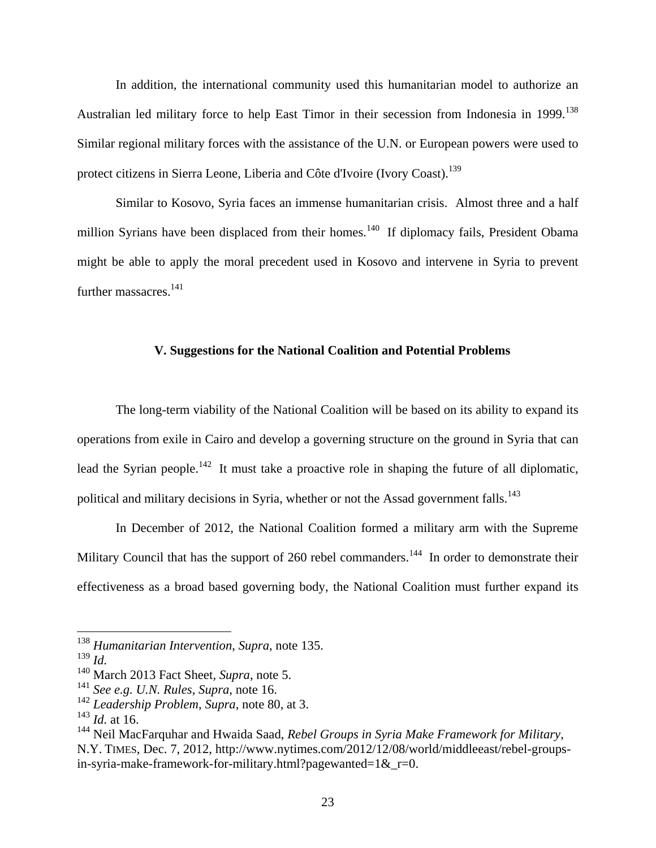In addition, the international community used this humanitarian model to authorize an Australian led military force to help East Timor in their secession from Indonesia in 1999.<sup>138</sup> Similar regional military forces with the assistance of the U.N. or European powers were used to protect citizens in Sierra Leone, Liberia and Côte d'Ivoire (Ivory Coast).<sup>139</sup>

Similar to Kosovo, Syria faces an immense humanitarian crisis. Almost three and a half million Syrians have been displaced from their homes.<sup>140</sup> If diplomacy fails, President Obama might be able to apply the moral precedent used in Kosovo and intervene in Syria to prevent further massacres.<sup>141</sup>

#### **V. Suggestions for the National Coalition and Potential Problems**

The long-term viability of the National Coalition will be based on its ability to expand its operations from exile in Cairo and develop a governing structure on the ground in Syria that can lead the Syrian people.<sup>142</sup> It must take a proactive role in shaping the future of all diplomatic, political and military decisions in Syria, whether or not the Assad government falls.<sup>143</sup>

In December of 2012, the National Coalition formed a military arm with the Supreme Military Council that has the support of 260 rebel commanders.<sup>144</sup> In order to demonstrate their effectiveness as a broad based governing body, the National Coalition must further expand its

<sup>138</sup> *Humanitarian Intervention*, *Supra*, note 135.

<sup>139</sup> *Id.*

<sup>140</sup> March 2013 Fact Sheet*, Supra*, note 5.

<sup>141</sup> *See e.g. U.N. Rules*, *Supra*, note 16.

<sup>142</sup> *Leadership Problem*, *Supra*, note 80, at 3.

<sup>143</sup> *Id.* at 16.

<sup>144</sup> Neil MacFarquhar and Hwaida Saad, *Rebel Groups in Syria Make Framework for Military*, N.Y. TIMES, Dec. 7, 2012, http://www.nytimes.com/2012/12/08/world/middleeast/rebel-groupsin-syria-make-framework-for-military.html?pagewanted=1& $r=0$ .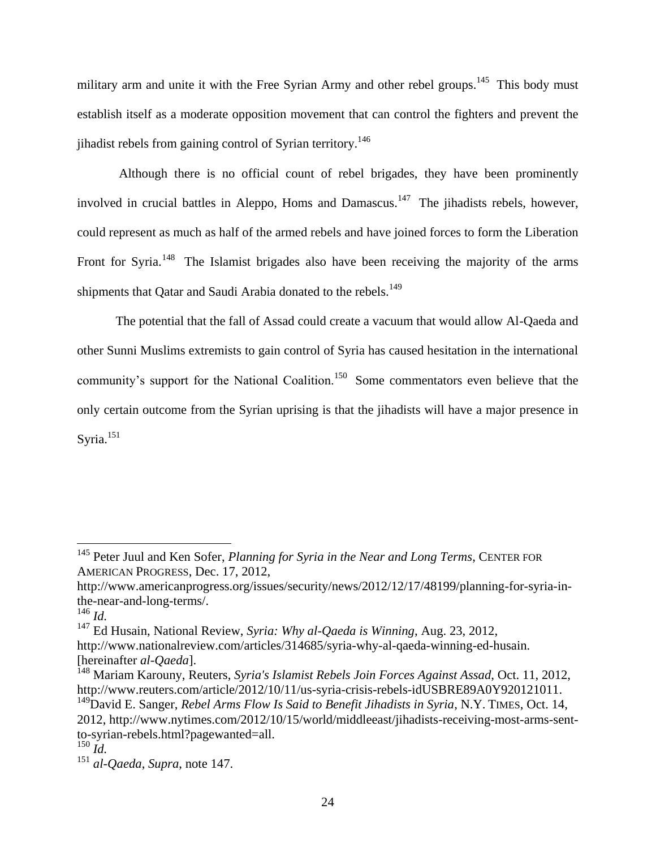military arm and unite it with the Free Syrian Army and other rebel groups.<sup>145</sup> This body must establish itself as a moderate opposition movement that can control the fighters and prevent the ijhadist rebels from gaining control of Syrian territory.<sup>146</sup>

Although there is no official count of rebel brigades, they have been prominently involved in crucial battles in Aleppo, Homs and Damascus.<sup>147</sup> The jihadists rebels, however, could represent as much as half of the armed rebels and have joined forces to form the Liberation Front for Syria.<sup>148</sup> The Islamist brigades also have been receiving the majority of the arms shipments that Oatar and Saudi Arabia donated to the rebels.<sup>149</sup>

The potential that the fall of Assad could create a vacuum that would allow Al-Qaeda and other Sunni Muslims extremists to gain control of Syria has caused hesitation in the international community's support for the National Coalition.<sup>150</sup> Some commentators even believe that the only certain outcome from the Syrian uprising is that the jihadists will have a major presence in Syria.<sup>151</sup>

<sup>145</sup> Peter Juul and Ken Sofer, *Planning for Syria in the Near and Long Terms*, CENTER FOR AMERICAN PROGRESS, Dec. 17, 2012,

http://www.americanprogress.org/issues/security/news/2012/12/17/48199/planning-for-syria-inthe-near-and-long-terms/.

 $\frac{146}{147}$  *Id.*<br> $\frac{147}{6}$  *Fd.* 

<sup>147</sup> Ed Husain, National Review, *Syria: Why al-Qaeda is Winning*, Aug. 23, 2012, http://www.nationalreview.com/articles/314685/syria-why-al-qaeda-winning-ed-husain. [hereinafter *al-Qaeda*].

<sup>148</sup> Mariam Karouny, Reuters, *Syria's Islamist Rebels Join Forces Against Assad*, Oct. 11, 2012, http://www.reuters.com/article/2012/10/11/us-syria-crisis-rebels-idUSBRE89A0Y920121011.

<sup>&</sup>lt;sup>149</sup>David E. Sanger, *Rebel Arms Flow Is Said to Benefit Jihadists in Syria*, N.Y. TIMES, Oct. 14, 2012, http://www.nytimes.com/2012/10/15/world/middleeast/jihadists-receiving-most-arms-sentto-syrian-rebels.html?pagewanted=all.

<sup>150</sup> *Id.*

<sup>151</sup> *al-Qaeda*, *Supra*, note 147.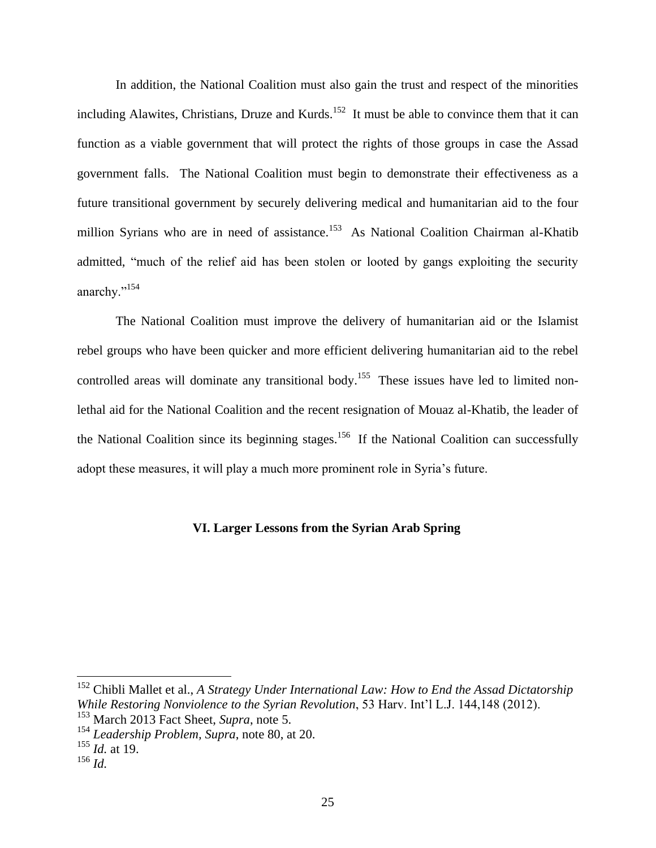In addition, the National Coalition must also gain the trust and respect of the minorities including Alawites, Christians, Druze and Kurds.<sup>152</sup> It must be able to convince them that it can function as a viable government that will protect the rights of those groups in case the Assad government falls. The National Coalition must begin to demonstrate their effectiveness as a future transitional government by securely delivering medical and humanitarian aid to the four million Syrians who are in need of assistance.<sup>153</sup> As National Coalition Chairman al-Khatib admitted, "much of the relief aid has been stolen or looted by gangs exploiting the security anarchy."<sup>154</sup>

The National Coalition must improve the delivery of humanitarian aid or the Islamist rebel groups who have been quicker and more efficient delivering humanitarian aid to the rebel controlled areas will dominate any transitional body.<sup>155</sup> These issues have led to limited nonlethal aid for the National Coalition and the recent resignation of Mouaz al-Khatib, the leader of the National Coalition since its beginning stages.<sup>156</sup> If the National Coalition can successfully adopt these measures, it will play a much more prominent role in Syria's future.

## **VI. Larger Lessons from the Syrian Arab Spring**

<sup>152</sup> Chibli Mallet et al., *A Strategy Under International Law: How to End the Assad Dictatorship While Restoring Nonviolence to the Syrian Revolution*, 53 Harv. Int'l L.J. 144,148 (2012).

<sup>153</sup> March 2013 Fact Sheet, *Supra*, note 5.

<sup>154</sup> *Leadership Problem, Supra*, note 80, at 20.

<sup>155</sup> *Id.* at 19.

<sup>156</sup> *Id.*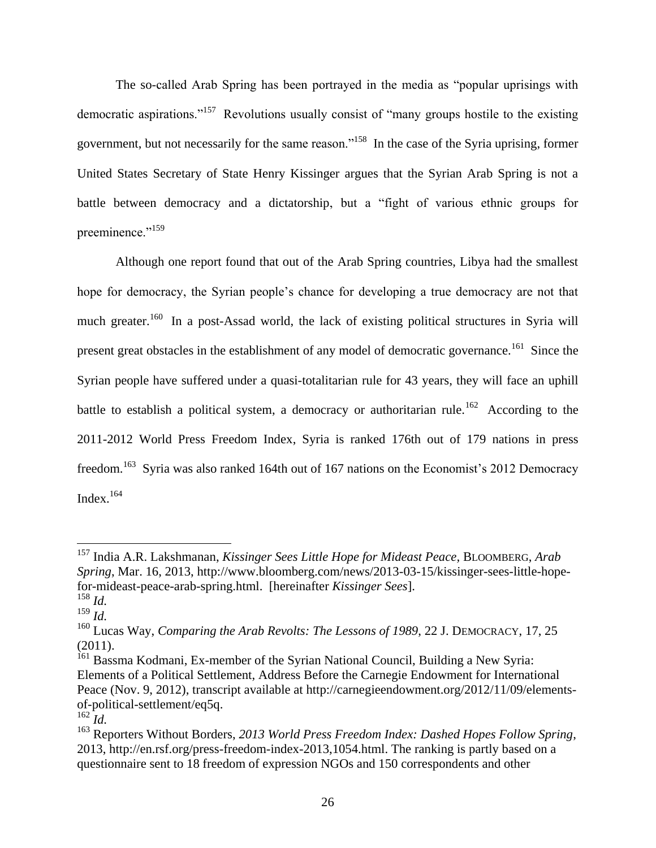The so-called Arab Spring has been portrayed in the media as "popular uprisings with democratic aspirations."<sup>157</sup> Revolutions usually consist of "many groups hostile to the existing government, but not necessarily for the same reason."<sup>158</sup> In the case of the Syria uprising, former United States Secretary of State Henry Kissinger argues that the Syrian Arab Spring is not a battle between democracy and a dictatorship, but a "fight of various ethnic groups for preeminence."<sup>159</sup>

Although one report found that out of the Arab Spring countries, Libya had the smallest hope for democracy, the Syrian people's chance for developing a true democracy are not that much greater.<sup>160</sup> In a post-Assad world, the lack of existing political structures in Syria will present great obstacles in the establishment of any model of democratic governance.<sup>161</sup> Since the Syrian people have suffered under a quasi-totalitarian rule for 43 years, they will face an uphill battle to establish a political system, a democracy or authoritarian rule.<sup>162</sup> According to the 2011-2012 World Press Freedom Index, Syria is ranked 176th out of 179 nations in press freedom.<sup>163</sup> Syria was also ranked 164th out of 167 nations on the Economist's 2012 Democracy Index.<sup>164</sup>

<sup>157</sup> India A.R. Lakshmanan, *Kissinger Sees Little Hope for Mideast Peace,* BLOOMBERG, *Arab Spring*, Mar. 16, 2013, http://www.bloomberg.com/news/2013-03-15/kissinger-sees-little-hopefor-mideast-peace-arab-spring.html. [hereinafter *Kissinger Sees*].

<sup>158</sup> *Id.*

<sup>159</sup> *Id.*

<sup>160</sup> Lucas Way, *Comparing the Arab Revolts: The Lessons of 1989*, 22 J. DEMOCRACY, 17, 25 (2011).

<sup>&</sup>lt;sup>161</sup> Bassma Kodmani, Ex-member of the Syrian National Council, Building a New Syria: Elements of a Political Settlement, Address Before the Carnegie Endowment for International Peace (Nov. 9, 2012), transcript available at http://carnegieendowment.org/2012/11/09/elementsof-political-settlement/eq5q.

 $^{162}$ *Id.* 

<sup>163</sup> Reporters Without Borders, *2013 World Press Freedom Index: Dashed Hopes Follow Spring*, 2013, http://en.rsf.org/press-freedom-index-2013,1054.html. The ranking is partly based on a questionnaire sent to 18 freedom of expression NGOs and 150 correspondents and other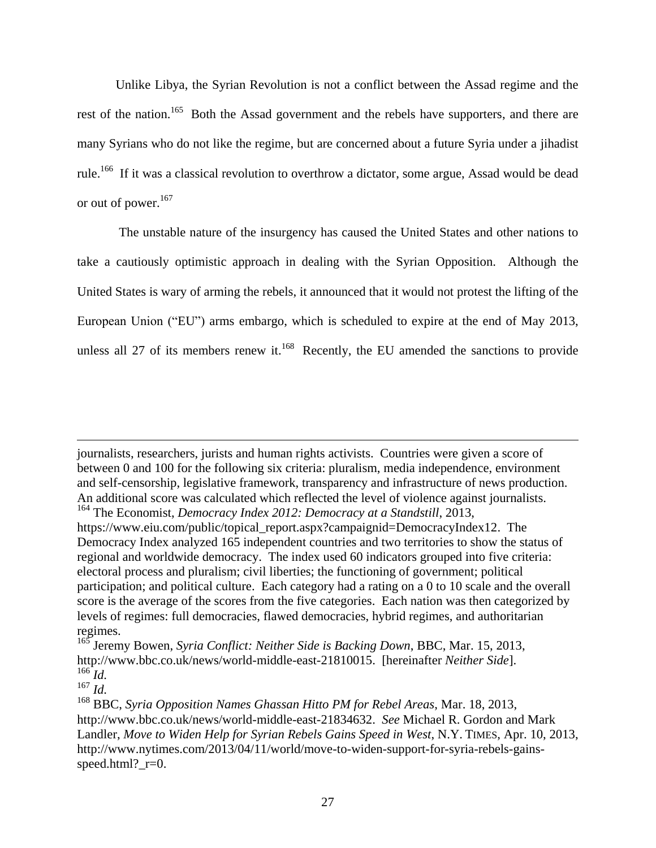Unlike Libya, the Syrian Revolution is not a conflict between the Assad regime and the rest of the nation.<sup>165</sup> Both the Assad government and the rebels have supporters, and there are many Syrians who do not like the regime, but are concerned about a future Syria under a jihadist rule.<sup>166</sup> If it was a classical revolution to overthrow a dictator, some argue, Assad would be dead or out of power.<sup>167</sup>

The unstable nature of the insurgency has caused the United States and other nations to take a cautiously optimistic approach in dealing with the Syrian Opposition. Although the United States is wary of arming the rebels, it announced that it would not protest the lifting of the European Union ("EU") arms embargo, which is scheduled to expire at the end of May 2013, unless all 27 of its members renew it.<sup>168</sup> Recently, the EU amended the sanctions to provide

journalists, researchers, jurists and human rights activists. Countries were given a score of between 0 and 100 for the following six criteria: pluralism, media independence, environment and self-censorship, legislative framework, transparency and infrastructure of news production. An additional score was calculated which reflected the level of violence against journalists. <sup>164</sup> The Economist, *Democracy Index 2012: Democracy at a Standstill*, 2013,

https://www.eiu.com/public/topical\_report.aspx?campaignid=DemocracyIndex12. The Democracy Index analyzed 165 independent countries and two territories to show the status of regional and worldwide democracy. The index used 60 indicators grouped into five criteria: electoral process and pluralism; civil liberties; the functioning of government; political participation; and political culture. Each category had a rating on a 0 to 10 scale and the overall score is the average of the scores from the five categories. Each nation was then categorized by levels of regimes: full democracies, flawed democracies, hybrid regimes, and authoritarian regimes.

<sup>165</sup> Jeremy Bowen, *Syria Conflict: Neither Side is Backing Down*, BBC, Mar. 15, 2013, http://www.bbc.co.uk/news/world-middle-east-21810015. [hereinafter *Neither Side*].  $^{166}$ *Id.* 

<sup>167</sup> *Id.*

<sup>168</sup> BBC, *Syria Opposition Names Ghassan Hitto PM for Rebel Areas*, Mar. 18, 2013, http://www.bbc.co.uk/news/world-middle-east-21834632. *See* Michael R. Gordon and Mark Landler, *Move to Widen Help for Syrian Rebels Gains Speed in West*, N.Y. TIMES, Apr. 10, 2013, http://www.nytimes.com/2013/04/11/world/move-to-widen-support-for-syria-rebels-gainsspeed.html?\_r=0.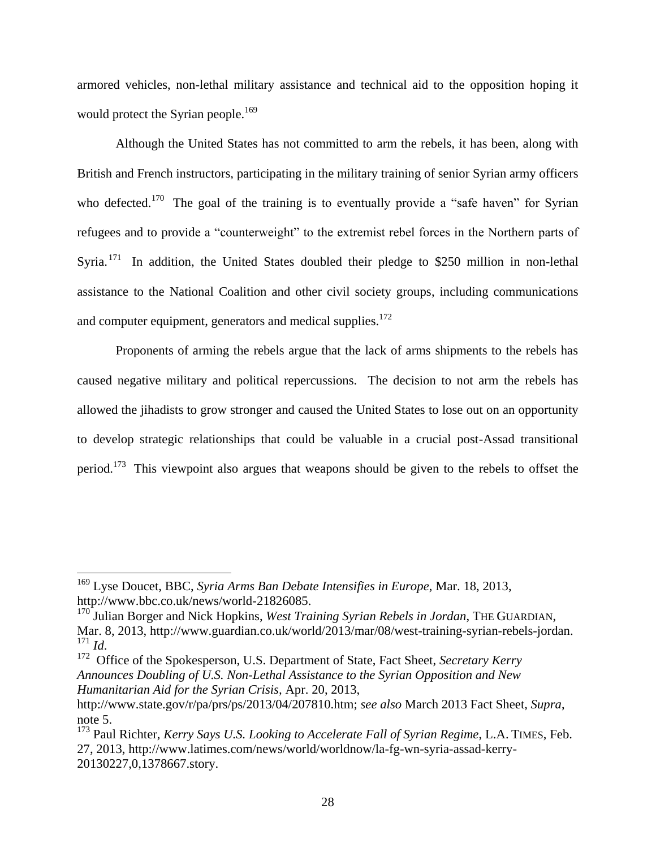armored vehicles, non-lethal military assistance and technical aid to the opposition hoping it would protect the Syrian people.<sup>169</sup>

Although the United States has not committed to arm the rebels, it has been, along with British and French instructors, participating in the military training of senior Syrian army officers who defected.<sup>170</sup> The goal of the training is to eventually provide a "safe haven" for Syrian refugees and to provide a "counterweight" to the extremist rebel forces in the Northern parts of Syria.<sup>171</sup> In addition, the United States doubled their pledge to \$250 million in non-lethal assistance to the National Coalition and other civil society groups, including communications and computer equipment, generators and medical supplies.<sup>172</sup>

Proponents of arming the rebels argue that the lack of arms shipments to the rebels has caused negative military and political repercussions. The decision to not arm the rebels has allowed the jihadists to grow stronger and caused the United States to lose out on an opportunity to develop strategic relationships that could be valuable in a crucial post-Assad transitional period.<sup>173</sup> This viewpoint also argues that weapons should be given to the rebels to offset the

 $\overline{a}$ 

<sup>172</sup> Office of the Spokesperson, U.S. Department of State, Fact Sheet, *Secretary Kerry Announces Doubling of U.S. Non-Lethal Assistance to the Syrian Opposition and New Humanitarian Aid for the Syrian Crisis,* Apr. 20, 2013,

<sup>169</sup> Lyse Doucet, BBC, *Syria Arms Ban Debate Intensifies in Europe*, Mar. 18, 2013, http://www.bbc.co.uk/news/world-21826085.

<sup>&</sup>lt;sup>170</sup> Julian Borger and Nick Hopkins, *West Training Syrian Rebels in Jordan*, THE GUARDIAN, Mar. 8, 2013, http://www.guardian.co.uk/world/2013/mar/08/west-training-syrian-rebels-jordan.  $\frac{171}{172}$  *Id.* 

http://www.state.gov/r/pa/prs/ps/2013/04/207810.htm; *see also* March 2013 Fact Sheet, *Supra*, note 5.

<sup>&</sup>lt;sup>173</sup> Paul Richter, *Kerry Says U.S. Looking to Accelerate Fall of Syrian Regime*, L.A. TIMES, Feb. 27, 2013, http://www.latimes.com/news/world/worldnow/la-fg-wn-syria-assad-kerry-20130227,0,1378667.story.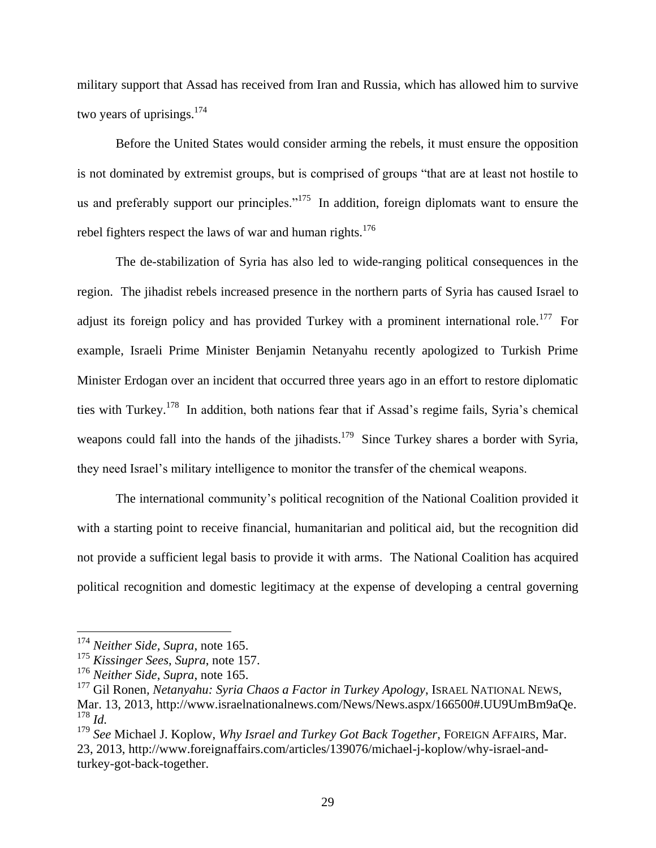military support that Assad has received from Iran and Russia, which has allowed him to survive two years of uprisings.<sup>174</sup>

Before the United States would consider arming the rebels, it must ensure the opposition is not dominated by extremist groups, but is comprised of groups "that are at least not hostile to us and preferably support our principles."<sup>175</sup> In addition, foreign diplomats want to ensure the rebel fighters respect the laws of war and human rights.<sup>176</sup>

The de-stabilization of Syria has also led to wide-ranging political consequences in the region. The jihadist rebels increased presence in the northern parts of Syria has caused Israel to adjust its foreign policy and has provided Turkey with a prominent international role.<sup>177</sup> For example, Israeli Prime Minister Benjamin Netanyahu recently apologized to Turkish Prime Minister Erdogan over an incident that occurred three years ago in an effort to restore diplomatic ties with Turkey.<sup>178</sup> In addition, both nations fear that if Assad's regime fails, Syria's chemical weapons could fall into the hands of the jihadists.<sup>179</sup> Since Turkey shares a border with Syria, they need Israel's military intelligence to monitor the transfer of the chemical weapons.

The international community's political recognition of the National Coalition provided it with a starting point to receive financial, humanitarian and political aid, but the recognition did not provide a sufficient legal basis to provide it with arms. The National Coalition has acquired political recognition and domestic legitimacy at the expense of developing a central governing

<sup>174</sup> *Neither Side, Supra*, note 165.

<sup>175</sup> *Kissinger Sees*, *Supra*, note 157.

<sup>176</sup> *Neither Side*, *Supra*, note 165.

<sup>177</sup> Gil Ronen*, Netanyahu: Syria Chaos a Factor in Turkey Apology*, ISRAEL NATIONAL NEWS, Mar. 13, 2013, http://www.israelnationalnews.com/News/News.aspx/166500#.UU9UmBm9aQe. <sup>178</sup> *Id.*

<sup>179</sup> *See* Michael J. Koplow, *Why Israel and Turkey Got Back Together*, FOREIGN AFFAIRS, Mar. 23, 2013, http://www.foreignaffairs.com/articles/139076/michael-j-koplow/why-israel-andturkey-got-back-together.